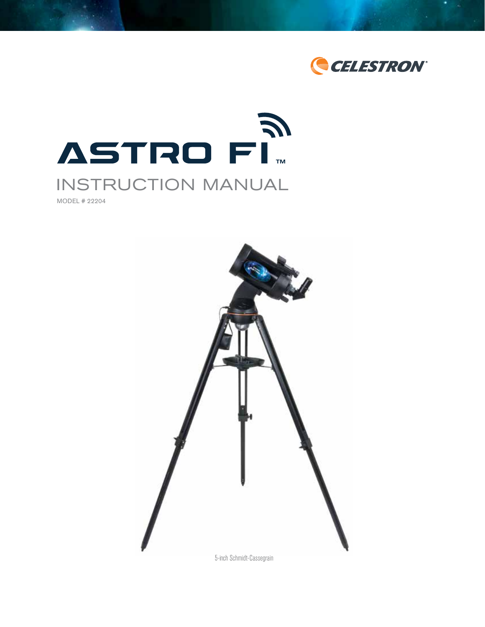



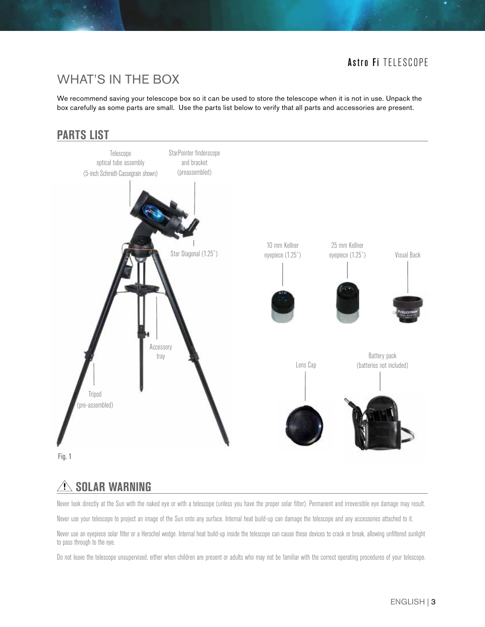# WHAT'S IN THE BOX

We recommend saving your telescope box so it can be used to store the telescope when it is not in use. Unpack the box carefully as some parts are small. Use the parts list below to verify that all parts and accessories are present.

### **PARTS LIST**





# $\triangle$  Solar Warning

Never look directly at the Sun with the naked eye or with a telescope (unless you have the proper solar filter). Permanent and irreversible eye damage may result.

Never use your telescope to project an image of the Sun onto any surface. Internal heat build-up can damage the telescope and any accessories attached to it.

Never use an eyepiece solar filter or a Herschel wedge. Internal heat build-up inside the telescope can cause these devices to crack or break, allowing unfiltered sunlight to pass through to the eye.

Do not leave the telescope unsupervised, either when children are present or adults who may not be familiar with the correct operating procedures of your telescope.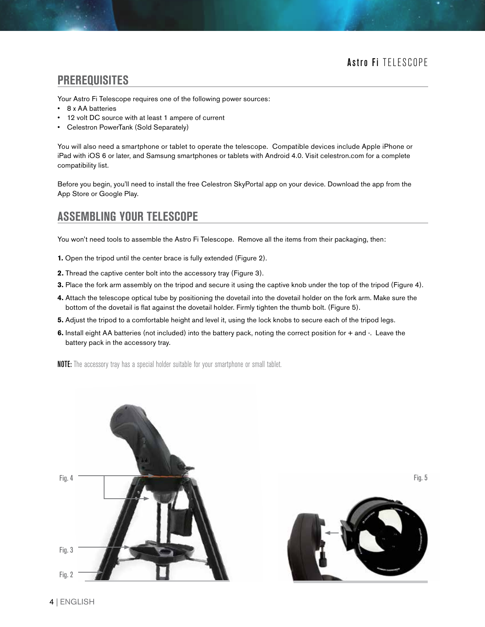#### **PREREQUISITES**

Your Astro Fi Telescope requires one of the following power sources:

- 8 x AA batteries
- 12 volt DC source with at least 1 ampere of current
- Celestron PowerTank (Sold Separately)

You will also need a smartphone or tablet to operate the telescope. Compatible devices include Apple iPhone or iPad with iOS 6 or later, and Samsung smartphones or tablets with Android 4.0. Visit celestron.com for a complete compatibility list.

Before you begin, you'll need to install the free Celestron SkyPortal app on your device. Download the app from the App Store or Google Play.

### **ASSEMBLING YOUR TELESCOPE**

You won't need tools to assemble the Astro Fi Telescope. Remove all the items from their packaging, then:

- **1.** Open the tripod until the center brace is fully extended (Figure 2).
- **2.** Thread the captive center bolt into the accessory tray (Figure 3).
- **3.** Place the fork arm assembly on the tripod and secure it using the captive knob under the top of the tripod (Figure 4).
- **4.** Attach the telescope optical tube by positioning the dovetail into the dovetail holder on the fork arm. Make sure the bottom of the dovetail is flat against the dovetail holder. Firmly tighten the thumb bolt. (Figure 5).
- **5.** Adjust the tripod to a comfortable height and level it, using the lock knobs to secure each of the tripod legs.
- **6.** Install eight AA batteries (not included) into the battery pack, noting the correct position for + and -. Leave the battery pack in the accessory tray.

**NOTE:** The accessory tray has a special holder suitable for your smartphone or small tablet.



Fig. 5

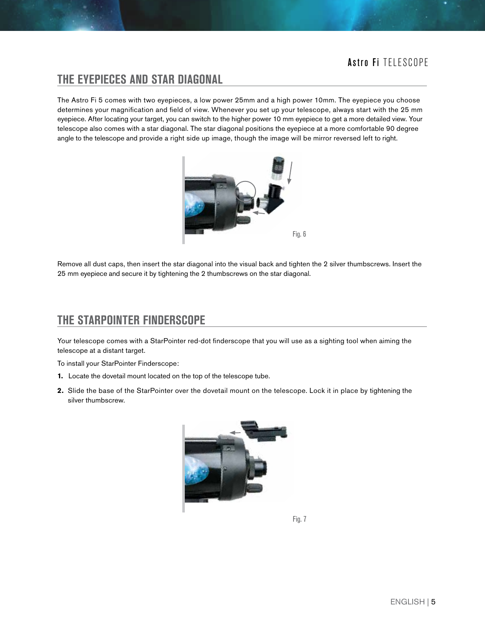### **THE EYEPIECES AND STAR DIAGONAL**

The Astro Fi 5 comes with two eyepieces, a low power 25mm and a high power 10mm. The eyepiece you choose determines your magnification and field of view. Whenever you set up your telescope, always start with the 25 mm eyepiece. After locating your target, you can switch to the higher power 10 mm eyepiece to get a more detailed view. Your telescope also comes with a star diagonal. The star diagonal positions the eyepiece at a more comfortable 90 degree angle to the telescope and provide a right side up image, though the image will be mirror reversed left to right.



Remove all dust caps, then insert the star diagonal into the visual back and tighten the 2 silver thumbscrews. Insert the 25 mm eyepiece and secure it by tightening the 2 thumbscrews on the star diagonal.

### **THE STARPOINTER FINDERSCOPE**

Your telescope comes with a StarPointer red-dot finderscope that you will use as a sighting tool when aiming the telescope at a distant target.

To install your StarPointer Finderscope:

- **1.** Locate the dovetail mount located on the top of the telescope tube.
- **2.** Slide the base of the StarPointer over the dovetail mount on the telescope. Lock it in place by tightening the silver thumbscrew.



Fig. 7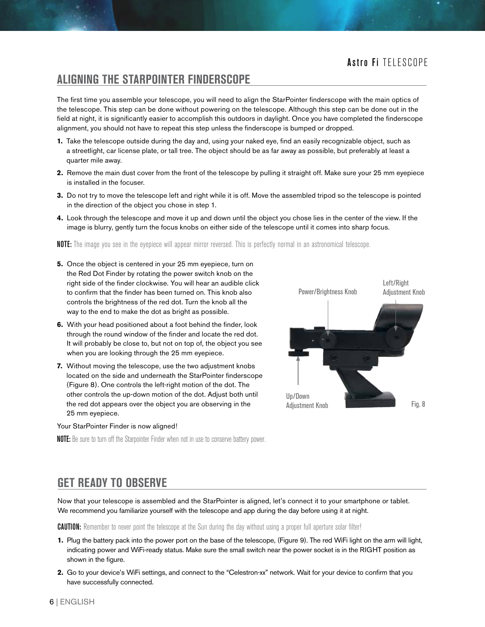#### **ALIGNING THE STARPOINTER FINDERSCOPE**

The first time you assemble your telescope, you will need to align the StarPointer finderscope with the main optics of the telescope. This step can be done without powering on the telescope. Although this step can be done out in the field at night, it is significantly easier to accomplish this outdoors in daylight. Once you have completed the finderscope alignment, you should not have to repeat this step unless the finderscope is bumped or dropped.

- **1.** Take the telescope outside during the day and, using your naked eye, find an easily recognizable object, such as a streetlight, car license plate, or tall tree. The object should be as far away as possible, but preferably at least a quarter mile away.
- **2.** Remove the main dust cover from the front of the telescope by pulling it straight off. Make sure your 25 mm eyepiece is installed in the focuser.
- **3.** Do not try to move the telescope left and right while it is off. Move the assembled tripod so the telescope is pointed in the direction of the object you chose in step 1.
- **4.** Look through the telescope and move it up and down until the object you chose lies in the center of the view. If the image is blurry, gently turn the focus knobs on either side of the telescope until it comes into sharp focus.

NOTE: The image you see in the eyepiece will appear mirror reversed. This is perfectly normal in an astronomical telescope.

- **5.** Once the object is centered in your 25 mm eyepiece, turn on the Red Dot Finder by rotating the power switch knob on the right side of the finder clockwise. You will hear an audible click to confirm that the finder has been turned on. This knob also controls the brightness of the red dot. Turn the knob all the way to the end to make the dot as bright as possible.
- **6.** With your head positioned about a foot behind the finder, look through the round window of the finder and locate the red dot. It will probably be close to, but not on top of, the object you see when you are looking through the 25 mm eyepiece.
- **7.** Without moving the telescope, use the two adjustment knobs located on the side and underneath the StarPointer finderscope (Figure 8). One controls the left-right motion of the dot. The other controls the up-down motion of the dot. Adjust both until the red dot appears over the object you are observing in the 25 mm eyepiece.

#### Your StarPointer Finder is now aligned!



**NOTE:** Be sure to turn off the Starpointer Finder when not in use to conserve battery power.

### **GET READY TO OBSERVE**

Now that your telescope is assembled and the StarPointer is aligned, let's connect it to your smartphone or tablet. We recommend you familiarize yourself with the telescope and app during the day before using it at night.

**CAUTION:** Remember to never point the telescope at the Sun during the day without using a proper full aperture solar filter!

- **1.** Plug the battery pack into the power port on the base of the telescope, (Figure 9). The red WiFi light on the arm will light, indicating power and WiFi-ready status. Make sure the small switch near the power socket is in the RIGHT position as shown in the figure.
- **2.** Go to your device's WiFi settings, and connect to the "Celestron-xx" network. Wait for your device to confirm that you have successfully connected.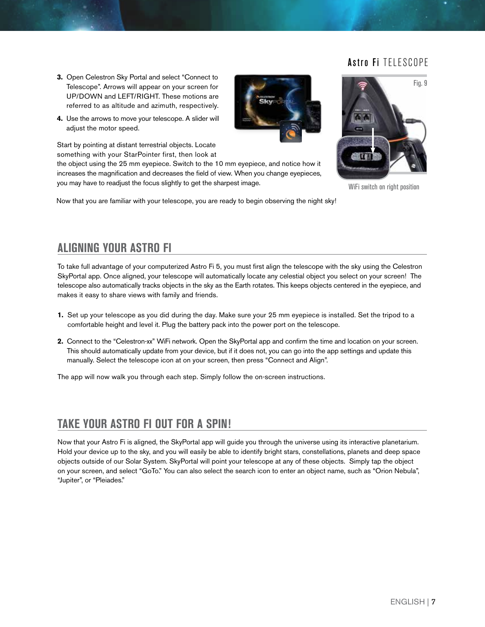- **3.** Open Celestron Sky Portal and select "Connect to Telescope". Arrows will appear on your screen for UP/DOWN and LEFT/RIGHT. These motions are referred to as altitude and azimuth, respectively.
- **4.** Use the arrows to move your telescope. A slider will adjust the motor speed.

Start by pointing at distant terrestrial objects. Locate something with your StarPointer first, then look at

the object using the 25 mm eyepiece. Switch to the 10 mm eyepiece, and notice how it increases the magnification and decreases the field of view. When you change eyepieces, you may have to readjust the focus slightly to get the sharpest image.

Now that you are familiar with your telescope, you are ready to begin observing the night sky!



WiFi switch on right position

### **ALIGNING YOUR ASTRO FI**

To take full advantage of your computerized Astro Fi 5, you must first align the telescope with the sky using the Celestron SkyPortal app. Once aligned, your telescope will automatically locate any celestial object you select on your screen! The telescope also automatically tracks objects in the sky as the Earth rotates. This keeps objects centered in the eyepiece, and makes it easy to share views with family and friends.

- **1.** Set up your telescope as you did during the day. Make sure your 25 mm eyepiece is installed. Set the tripod to a comfortable height and level it. Plug the battery pack into the power port on the telescope.
- **2.** Connect to the "Celestron-xx" WiFi network. Open the SkyPortal app and confirm the time and location on your screen. This should automatically update from your device, but if it does not, you can go into the app settings and update this manually. Select the telescope icon at on your screen, then press "Connect and Align".

The app will now walk you through each step. Simply follow the on-screen instructions.

### **TAKE YOUR ASTRO FI OUT FOR A SPIN!**

Now that your Astro Fi is aligned, the SkyPortal app will guide you through the universe using its interactive planetarium. Hold your device up to the sky, and you will easily be able to identify bright stars, constellations, planets and deep space objects outside of our Solar System. SkyPortal will point your telescope at any of these objects. Simply tap the object on your screen, and select "GoTo." You can also select the search icon to enter an object name, such as "Orion Nebula", "Jupiter", or "Pleiades."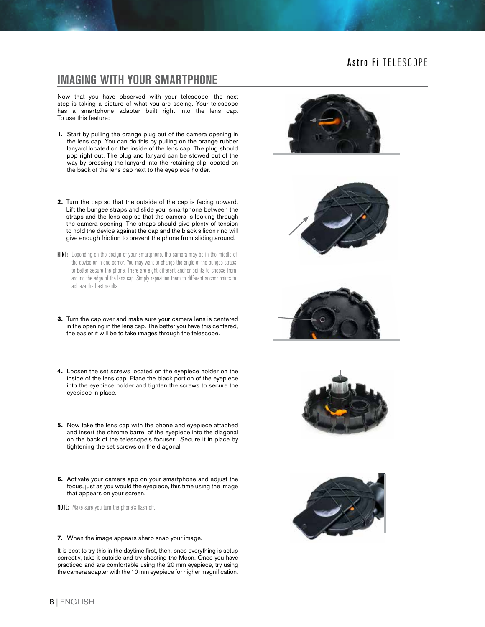#### **IMAGING WITH YOUR SMARTPHONE**

Now that you have observed with your telescope, the next step is taking a picture of what you are seeing. Your telescope has a smartphone adapter built right into the lens cap. To use this feature:

- **1.** Start by pulling the orange plug out of the camera opening in the lens cap. You can do this by pulling on the orange rubber lanyard located on the inside of the lens cap. The plug should pop right out. The plug and lanyard can be stowed out of the way by pressing the lanyard into the retaining clip located on the back of the lens cap next to the eyepiece holder.
- **2.** Turn the cap so that the outside of the cap is facing upward. Lift the bungee straps and slide your smartphone between the straps and the lens cap so that the camera is looking through the camera opening. The straps should give plenty of tension to hold the device against the cap and the black silicon ring will give enough friction to prevent the phone from sliding around.
- **HINT:** Depending on the design of your smartphone, the camera may be in the middle of the device or in one corner. You may want to change the angle of the bungee straps to better secure the phone. There are eight different anchor points to choose from around the edge of the lens cap. Simply reposition them to different anchor points to achieve the best results.
- **3.** Turn the cap over and make sure your camera lens is centered in the opening in the lens cap. The better you have this centered, the easier it will be to take images through the telescope.
- **4.** Loosen the set screws located on the eyepiece holder on the inside of the lens cap. Place the black portion of the eyepiece into the eyepiece holder and tighten the screws to secure the eyepiece in place.
- **5.** Now take the lens cap with the phone and eyepiece attached and insert the chrome barrel of the eyepiece into the diagonal on the back of the telescope's focuser. Secure it in place by tightening the set screws on the diagonal.
- **6.** Activate your camera app on your smartphone and adjust the focus, just as you would the eyepiece, this time using the image that appears on your screen.

NOTE: Make sure you turn the phone's flash off.

#### **7.** When the image appears sharp snap your image.

It is best to try this in the daytime first, then, once everything is setup correctly, take it outside and try shooting the Moon. Once you have practiced and are comfortable using the 20 mm eyepiece, try using the camera adapter with the 10 mm eyepiece for higher magnification.









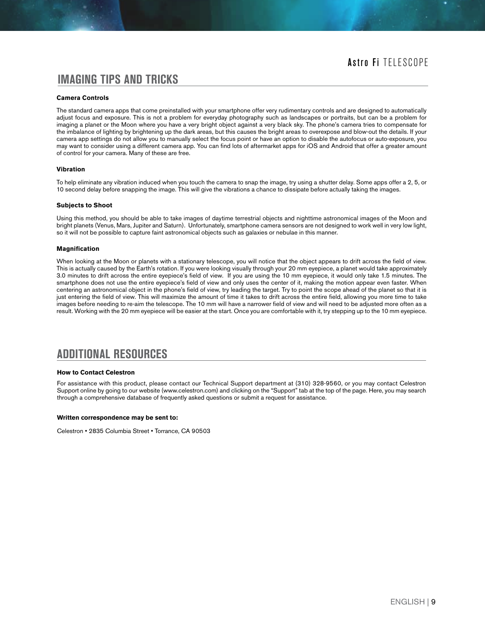#### **IMAGING TIPS AND TRICKS**

#### **Camera Controls**

The standard camera apps that come preinstalled with your smartphone offer very rudimentary controls and are designed to automatically adjust focus and exposure. This is not a problem for everyday photography such as landscapes or portraits, but can be a problem for imaging a planet or the Moon where you have a very bright object against a very black sky. The phone's camera tries to compensate for the imbalance of lighting by brightening up the dark areas, but this causes the bright areas to overexpose and blow-out the details. If your camera app settings do not allow you to manually select the focus point or have an option to disable the autofocus or auto-exposure, you may want to consider using a different camera app. You can find lots of aftermarket apps for iOS and Android that offer a greater amount of control for your camera. Many of these are free.

#### **Vibration**

To help eliminate any vibration induced when you touch the camera to snap the image, try using a shutter delay. Some apps offer a 2, 5, or 10 second delay before snapping the image. This will give the vibrations a chance to dissipate before actually taking the images.

#### **Subjects to Shoot**

Using this method, you should be able to take images of daytime terrestrial objects and nighttime astronomical images of the Moon and bright planets (Venus, Mars, Jupiter and Saturn). Unfortunately, smartphone camera sensors are not designed to work well in very low light, so it will not be possible to capture faint astronomical objects such as galaxies or nebulae in this manner.

#### **Magnification**

When looking at the Moon or planets with a stationary telescope, you will notice that the object appears to drift across the field of view. This is actually caused by the Earth's rotation. If you were looking visually through your 20 mm eyepiece, a planet would take approximately 3.0 minutes to drift across the entire eyepiece's field of view. If you are using the 10 mm eyepiece, it would only take 1.5 minutes. The smartphone does not use the entire eyepiece's field of view and only uses the center of it, making the motion appear even faster. When centering an astronomical object in the phone's field of view, try leading the target. Try to point the scope ahead of the planet so that it is just entering the field of view. This will maximize the amount of time it takes to drift across the entire field, allowing you more time to take images before needing to re-aim the telescope. The 10 mm will have a narrower field of view and will need to be adjusted more often as a result. Working with the 20 mm eyepiece will be easier at the start. Once you are comfortable with it, try stepping up to the 10 mm eyepiece.

#### **ADDITIONAL RESOURCES**

#### **How to Contact Celestron**

For assistance with this product, please contact our Technical Support department at (310) 328-9560, or you may contact Celestron Support online by going to our website (www.celestron.com) and clicking on the "Support" tab at the top of the page. Here, you may search through a comprehensive database of frequently asked questions or submit a request for assistance.

#### **Written correspondence may be sent to:**

Celestron • 2835 Columbia Street • Torrance, CA 90503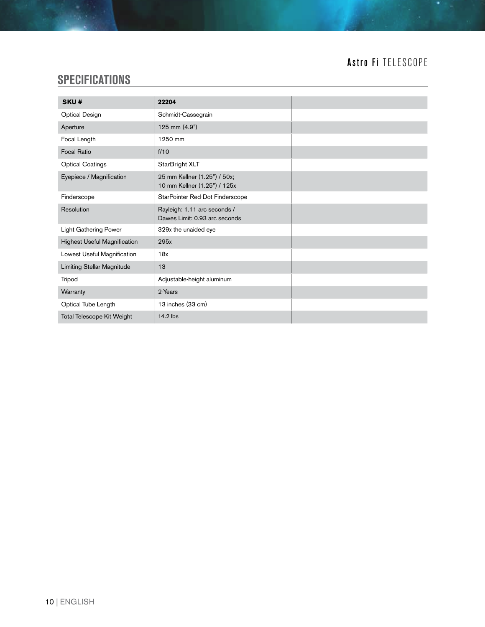# **SPECIFICATIONS**

| SKU#                                | 22204                                                         |  |
|-------------------------------------|---------------------------------------------------------------|--|
| <b>Optical Design</b>               | Schmidt-Cassegrain                                            |  |
| Aperture                            | 125 mm (4.9")                                                 |  |
| Focal Length                        | 1250 mm                                                       |  |
| <b>Focal Ratio</b>                  | f/10                                                          |  |
| <b>Optical Coatings</b>             | StarBright XLT                                                |  |
| Eyepiece / Magnification            | 25 mm Kellner (1.25") / 50x;<br>10 mm Kellner (1.25") / 125x  |  |
| Finderscope                         | StarPointer Red-Dot Finderscope                               |  |
| Resolution                          | Rayleigh: 1.11 arc seconds /<br>Dawes Limit: 0.93 arc seconds |  |
| <b>Light Gathering Power</b>        | 329x the unaided eye                                          |  |
| <b>Highest Useful Magnification</b> | 295x                                                          |  |
| Lowest Useful Magnification         | 18x                                                           |  |
| Limiting Stellar Magnitude          | 13                                                            |  |
| Tripod                              | Adjustable-height aluminum                                    |  |
| Warranty                            | 2-Years                                                       |  |
| Optical Tube Length                 | 13 inches (33 cm)                                             |  |
| Total Telescope Kit Weight          | 14.2 lbs                                                      |  |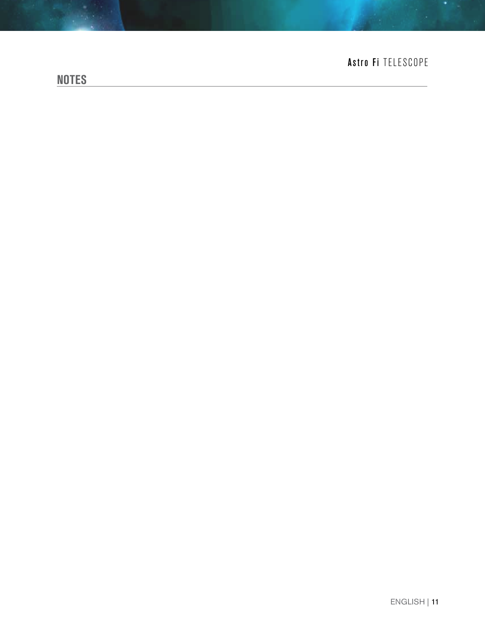# **NOTES**

# Astro Fi TELESCOPE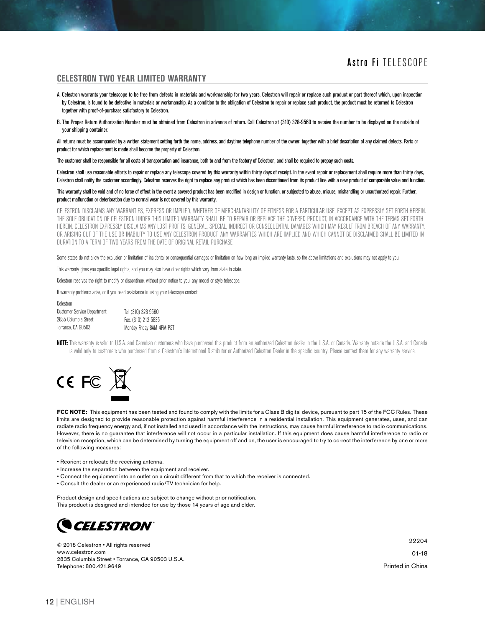#### **CELESTRON TWO YEAR LIMITED WARRANTY**

- A. Celestron warrants your telescope to be free from defects in materials and workmanship for two years. Celestron will repair or replace such product or part thereof which, upon inspection by Celestron, is found to be defective in materials or workmanship. As a condition to the obligation of Celestron to repair or replace such product, the product must be returned to Celestron together with proof-of-purchase satisfactory to Celestron.
- B. The Proper Return Authorization Number must be obtained from Celestron in advance of return. Call Celestron at (310) 328-9560 to receive the number to be displayed on the outside of your shipping container.

All returns must be accompanied by a written statement setting forth the name, address, and daytime telephone number of the owner, together with a brief description of any claimed defects. Parts or product for which replacement is made shall become the property of Celestron.

The customer shall be responsible for all costs of transportation and insurance, both to and from the factory of Celestron, and shall be required to prepay such costs.

Celestron shall use reasonable efforts to repair or replace any telescope covered by this warranty within thirty days of receipt. In the event repair or replacement shall require more than thirty days, Celestron shall notify the customer accordingly. Celestron reserves the right to replace any product which has been discontinued from its product line with a new product of comparable value and function.

#### This warranty shall be void and of no force of effect in the event a covered product has been modified in design or function, or subjected to abuse, misuse, mishandling or unauthorized repair. Further, product malfunction or deterioration due to normal wear is not covered by this warranty.

CELESTRON DISCLAIMS ANY WARRANTIES, EXPRESS OR IMPLIED, WHETHER OF MERCHANTABILITY OF FITNESS FOR A PARTICULAR USE, EXCEPT AS EXPRESSLY SET FORTH HEREIN. THE SOLE OBLIGATION OF CELESTRON UNDER THIS LIMITED WARRANTY SHALL BE TO REPAIR OR REPLACE THE COVERED PRODUCT, IN ACCORDANCE WITH THE TERMS SET FORTH HEREIN. CELESTRON EXPRESSLY DISCLAIMS ANY LOST PROFITS, GENERAL, SPECIAL, INDIRECT OR CONSEQUENTIAL DAMAGES WHICH MAY RESULT FROM BREACH OF ANY WARRANTY, OR ARISING OUT OF THE USE OR INABILITY TO USE ANY CELESTRON PRODUCT. ANY WARRANTIES WHICH ARE IMPLIED AND WHICH CANNOT BE DISCLAIMED SHALL BE LIMITED IN DURATION TO A TERM OF TWO YEARS FROM THE DATE OF ORIGINAL RETAIL PURCHASE.

Some states do not allow the exclusion or limitation of incidental or consequential damages or limitation on how long an implied warranty lasts, so the above limitations and exclusions may not apply to you.

This warranty gives you specific legal rights, and you may also have other rights which vary from state to state.

Celestron reserves the right to modify or discontinue, without prior notice to you, any model or style telescope.

If warranty problems arise, or if you need assistance in using your telescope contact:

| Celestron                          |                           |
|------------------------------------|---------------------------|
| <b>Customer Service Department</b> | Tel. (310) 328-9560       |
| 2835 Columbia Street               | Fax. (310) 212-5835       |
| Torrance, CA 90503                 | Monday-Friday 8AM-4PM PST |

NOTE: This warranty is valid to U.S.A. and Canadian customers who have purchased this product from an authorized Celestron dealer in the U.S.A. or Canada. Warranty outside the U.S.A. and Canada is valid only to customers who purchased from a Celestron's International Distributor or Authorized Celestron Dealer in the specific country. Please contact them for any warranty service.



**FCC NOTE:** This equipment has been tested and found to comply with the limits for a Class B digital device, pursuant to part 15 of the FCC Rules. These limits are designed to provide reasonable protection against harmful interference in a residential installation. This equipment generates, uses, and can radiate radio frequency energy and, if not installed and used in accordance with the instructions, may cause harmful interference to radio communications. However, there is no guarantee that interference will not occur in a particular installation. If this equipment does cause harmful interference to radio or television reception, which can be determined by turning the equipment off and on, the user is encouraged to try to correct the interference by one or more of the following measures:

- Reorient or relocate the receiving antenna.
- Increase the separation between the equipment and receiver.
- Connect the equipment into an outlet on a circuit different from that to which the receiver is connected.
- Consult the dealer or an experienced radio/TV technician for help.

Product design and specifications are subject to change without prior notification. This product is designed and intended for use by those 14 years of age and older.



© 2018 Celestron • All rights reserved www.celestron.com 2835 Columbia Street • Torrance, CA 90503 U.S.A. Telephone: 800.421.9649

22204 01-18 Printed in China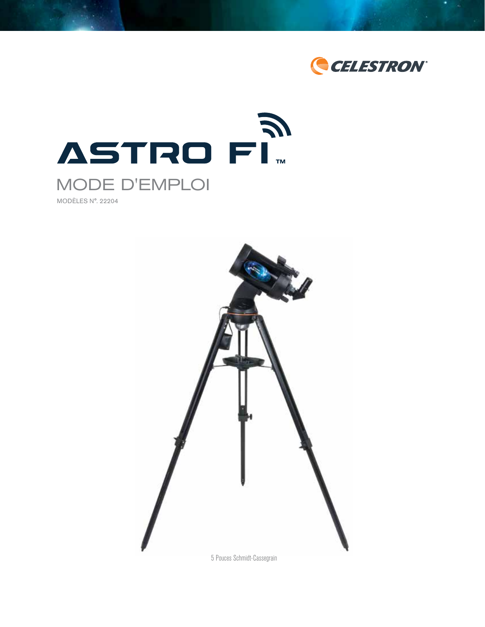



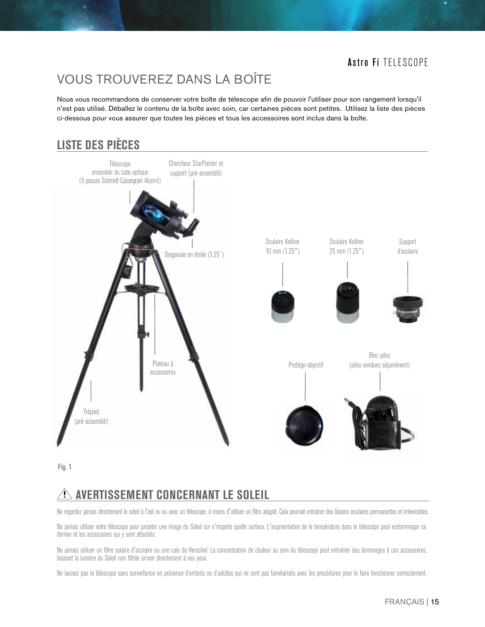# VOUS TROUVEREZ DANS LA BOÎTE

Nous vous recommandons de conserver votre boîte de télescope afin de pouvoir l'utiliser pour son rangement lorsqu'il n'est pas utilisé. Déballez le contenu de la boîte avec soin, car certaines pièces sont petites. Utilisez la liste des pièces ci-dessous pour vous assurer que toutes les pièces et tous les accessoires sont inclus dans la boîte.

# **LISTE DES PIÈCES**



Fig. 1

# **AVERTISSEMENT CONCERNANT LE SOLEIL**

Ne regardez jamais directement le soleil à l'œil nu ou avec un télescope, à moins d'utiliser un filtre adapté. Cela pourrait entraîner des lésions oculaires permanentes et irréversibles.

Ne jamais utiliser votre télescope pour projeter une image du Soleil sur n'importe quelle surface. L'augmentation de la température dans le télescope peut endommager ce dernier et les accessoires qui y sont attachés.

Ne jamais utiliser un filtre solaire d'oculaire ou une cale de Herschel. La concentration de chaleur au sein du télescope peut entraîner des dommages à ces accessoires, laissant la lumière du Soleil non filtrée arriver directement à vos yeux.

Ne laissez pas le télescope sans surveillance en présence d'enfants ou d'adultes qui ne sont pas familiarisés avec les procédures pour le faire fonctionner correctement.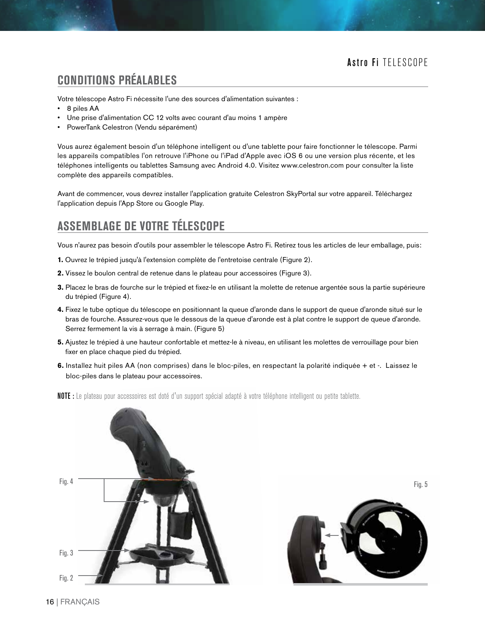# **CONDITIONS PRÉALABLES**

Votre télescope Astro Fi nécessite l'une des sources d'alimentation suivantes :

- 8 piles AA
- Une prise d'alimentation CC 12 volts avec courant d'au moins 1 ampère
- PowerTank Celestron (Vendu séparément)

Vous aurez également besoin d'un téléphone intelligent ou d'une tablette pour faire fonctionner le télescope. Parmi les appareils compatibles l'on retrouve l'iPhone ou l'iPad d'Apple avec iOS 6 ou une version plus récente, et les téléphones intelligents ou tablettes Samsung avec Android 4.0. Visitez www.celestron.com pour consulter la liste complète des appareils compatibles.

Avant de commencer, vous devrez installer l'application gratuite Celestron SkyPortal sur votre appareil. Téléchargez l'application depuis l'App Store ou Google Play.

## **ASSEMBLAGE DE VOTRE TÉLESCOPE**

Vous n'aurez pas besoin d'outils pour assembler le télescope Astro Fi. Retirez tous les articles de leur emballage, puis:

- **1.** Ouvrez le trépied jusqu'à l'extension complète de l'entretoise centrale (Figure 2).
- **2.** Vissez le boulon central de retenue dans le plateau pour accessoires (Figure 3).
- **3.** Placez le bras de fourche sur le trépied et fixez-le en utilisant la molette de retenue argentée sous la partie supérieure du trépied (Figure 4).
- **4.** Fixez le tube optique du télescope en positionnant la queue d'aronde dans le support de queue d'aronde situé sur le bras de fourche. Assurez-vous que le dessous de la queue d'aronde est à plat contre le support de queue d'aronde. Serrez fermement la vis à serrage à main. (Figure 5)
- **5.** Ajustez le trépied à une hauteur confortable et mettez-le à niveau, en utilisant les molettes de verrouillage pour bien fixer en place chaque pied du trépied.
- **6.** Installez huit piles AA (non comprises) dans le bloc-piles, en respectant la polarité indiquée + et -. Laissez le bloc-piles dans le plateau pour accessoires.
- NOTE : Le plateau pour accessoires est doté d'un support spécial adapté à votre téléphone intelligent ou petite tablette.



Fig. 5

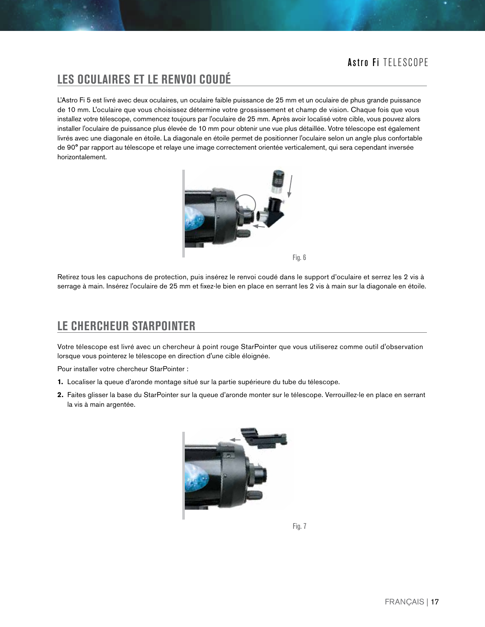# **LES OCULAIRES ET LE RENVOI COUDÉ**

L'Astro Fi 5 est livré avec deux oculaires, un oculaire faible puissance de 25 mm et un oculaire de phus grande puissance de 10 mm. L'oculaire que vous choisissez détermine votre grossissement et champ de vision. Chaque fois que vous installez votre télescope, commencez toujours par l'oculaire de 25 mm. Après avoir localisé votre cible, vous pouvez alors installer l'oculaire de puissance plus élevée de 10 mm pour obtenir une vue plus détaillée. Votre télescope est également livrés avec une diagonale en étoile. La diagonale en étoile permet de positionner l'oculaire selon un angle plus confortable de 90° par rapport au télescope et relaye une image correctement orientée verticalement, qui sera cependant inversée horizontalement.



Fig. 6

Retirez tous les capuchons de protection, puis insérez le renvoi coudé dans le support d'oculaire et serrez les 2 vis à serrage à main. Insérez l'oculaire de 25 mm et fixez-le bien en place en serrant les 2 vis à main sur la diagonale en étoile.

### **LE CHERCHEUR STARPOINTER**

Votre télescope est livré avec un chercheur à point rouge StarPointer que vous utiliserez comme outil d'observation lorsque vous pointerez le télescope en direction d'une cible éloignée.

Pour installer votre chercheur StarPointer :

- **1.** Localiser la queue d'aronde montage situé sur la partie supérieure du tube du télescope.
- **2.** Faites glisser la base du StarPointer sur la queue d'aronde monter sur le télescope. Verrouillez-le en place en serrant la vis à main argentée.

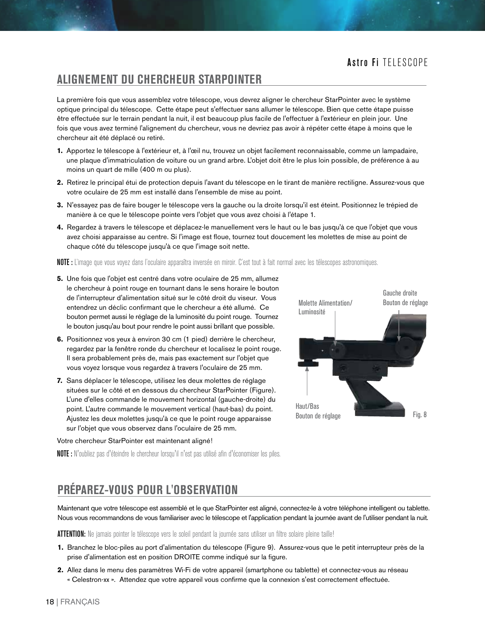### **ALIGNEMENT DU CHERCHEUR STARPOINTER**

La première fois que vous assemblez votre télescope, vous devrez aligner le chercheur StarPointer avec le système optique principal du télescope. Cette étape peut s'effectuer sans allumer le télescope. Bien que cette étape puisse être effectuée sur le terrain pendant la nuit, il est beaucoup plus facile de l'effectuer à l'extérieur en plein jour. Une fois que vous avez terminé l'alignement du chercheur, vous ne devriez pas avoir à répéter cette étape à moins que le chercheur ait été déplacé ou retiré.

- **1.** Apportez le télescope à l'extérieur et, à l'œil nu, trouvez un objet facilement reconnaissable, comme un lampadaire, une plaque d'immatriculation de voiture ou un grand arbre. L'objet doit être le plus loin possible, de préférence à au moins un quart de mille (400 m ou plus).
- **2.** Retirez le principal étui de protection depuis l'avant du télescope en le tirant de manière rectiligne. Assurez-vous que votre oculaire de 25 mm est installé dans l'ensemble de mise au point.
- **3.** N'essayez pas de faire bouger le télescope vers la gauche ou la droite lorsqu'il est éteint. Positionnez le trépied de manière à ce que le télescope pointe vers l'objet que vous avez choisi à l'étape 1.
- **4.** Regardez à travers le télescope et déplacez-le manuellement vers le haut ou le bas jusqu'à ce que l'objet que vous avez choisi apparaisse au centre. Si l'image est floue, tournez tout doucement les molettes de mise au point de chaque côté du télescope jusqu'à ce que l'image soit nette.

NOTE : L'image que vous voyez dans l'oculaire apparaîtra inversée en miroir. C'est tout à fait normal avec les télescopes astronomiques.

- **5.** Une fois que l'objet est centré dans votre oculaire de 25 mm, allumez le chercheur à point rouge en tournant dans le sens horaire le bouton de l'interrupteur d'alimentation situé sur le côté droit du viseur. Vous entendrez un déclic confirmant que le chercheur a été allumé. Ce bouton permet aussi le réglage de la luminosité du point rouge. Tournez le bouton jusqu'au bout pour rendre le point aussi brillant que possible.
- **6.** Positionnez vos yeux à environ 30 cm (1 pied) derrière le chercheur, regardez par la fenêtre ronde du chercheur et localisez le point rouge. Il sera probablement près de, mais pas exactement sur l'objet que vous voyez lorsque vous regardez à travers l'oculaire de 25 mm.
- **7.** Sans déplacer le télescope, utilisez les deux molettes de réglage situées sur le côté et en dessous du chercheur StarPointer (Figure). L'une d'elles commande le mouvement horizontal (gauche-droite) du point. L'autre commande le mouvement vertical (haut-bas) du point. Ajustez les deux molettes jusqu'à ce que le point rouge apparaisse sur l'objet que vous observez dans l'oculaire de 25 mm.

#### Votre chercheur StarPointer est maintenant aligné!

Fig. 8 Haut/Bas Bouton de réglage Molette Alimentation/ Luminosité Bouton de réglage

Gauche droite

NOTE : N'oubliez pas d'éteindre le chercheur lorsqu'il n'est pas utilisé afin d'économiser les piles.

# **PRÉPAREZ-VOUS POUR L'OBSERVATION**

Maintenant que votre télescope est assemblé et le que StarPointer est aligné, connectez-le à votre téléphone intelligent ou tablette. Nous vous recommandons de vous familiariser avec le télescope et l'application pendant la journée avant de l'utiliser pendant la nuit.

ATTENTION: Ne jamais pointer le télescope vers le soleil pendant la journée sans utiliser un filtre solaire pleine taille!

- **1.** Branchez le bloc-piles au port d'alimentation du télescope (Figure 9). Assurez-vous que le petit interrupteur près de la prise d'alimentation est en position DROITE comme indiqué sur la figure.
- **2.** Allez dans le menu des paramètres Wi-Fi de votre appareil (smartphone ou tablette) et connectez-vous au réseau « Celestron-xx ». Attendez que votre appareil vous confirme que la connexion s'est correctement effectuée.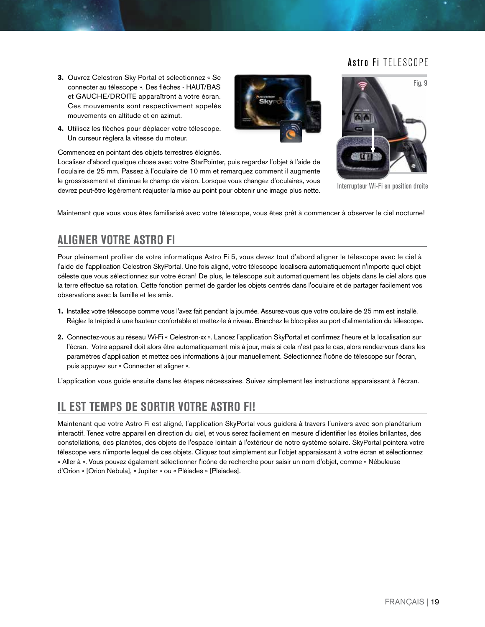- **3.** Ouvrez Celestron Sky Portal et sélectionnez « Se connecter au télescope ». Des flèches - HAUT/BAS et GAUCHE/DROITE apparaîtront à votre écran. Ces mouvements sont respectivement appelés mouvements en altitude et en azimut.
- **4.** Utilisez les flèches pour déplacer votre télescope. Un curseur règlera la vitesse du moteur.

Commencez en pointant des objets terrestres éloignés.

Localisez d'abord quelque chose avec votre StarPointer, puis regardez l'objet à l'aide de l'oculaire de 25 mm. Passez à l'oculaire de 10 mm et remarquez comment il augmente le grossissement et diminue le champ de vision. Lorsque vous changez d'oculaires, vous devrez peut-être légèrement réajuster la mise au point pour obtenir une image plus nette.



Interrupteur Wi-Fi en position droite

Maintenant que vous vous êtes familiarisé avec votre télescope, vous êtes prêt à commencer à observer le ciel nocturne!

### **ALIGNER VOTRE ASTRO FI**

Pour pleinement profiter de votre informatique Astro Fi 5, vous devez tout d'abord aligner le télescope avec le ciel à l'aide de l'application Celestron SkyPortal. Une fois aligné, votre télescope localisera automatiquement n'importe quel objet céleste que vous sélectionnez sur votre écran! De plus, le télescope suit automatiquement les objets dans le ciel alors que la terre effectue sa rotation. Cette fonction permet de garder les objets centrés dans l'oculaire et de partager facilement vos observations avec la famille et les amis.

- **1.** Installez votre télescope comme vous l'avez fait pendant la journée. Assurez-vous que votre oculaire de 25 mm est installé. Réglez le trépied à une hauteur confortable et mettez-le à niveau. Branchez le bloc-piles au port d'alimentation du télescope.
- **2.** Connectez-vous au réseau Wi-Fi « Celestron-xx ». Lancez l'application SkyPortal et confirmez l'heure et la localisation sur l'écran. Votre appareil doit alors être automatiquement mis à jour, mais si cela n'est pas le cas, alors rendez-vous dans les paramètres d'application et mettez ces informations à jour manuellement. Sélectionnez l'icône de télescope sur l'écran, puis appuyez sur « Connecter et aligner ».

L'application vous guide ensuite dans les étapes nécessaires. Suivez simplement les instructions apparaissant à l'écran.

### **IL EST TEMPS DE SORTIR VOTRE ASTRO FI!**

Maintenant que votre Astro Fi est aligné, l'application SkyPortal vous guidera à travers l'univers avec son planétarium interactif. Tenez votre appareil en direction du ciel, et vous serez facilement en mesure d'identifier les étoiles brillantes, des constellations, des planètes, des objets de l'espace lointain à l'extérieur de notre système solaire. SkyPortal pointera votre télescope vers n'importe lequel de ces objets. Cliquez tout simplement sur l'objet apparaissant à votre écran et sélectionnez « Aller à ». Vous pouvez également sélectionner l'icône de recherche pour saisir un nom d'objet, comme « Nébuleuse d'Orion » [Orion Nebula], « Jupiter » ou « Pléiades » [Pleiades].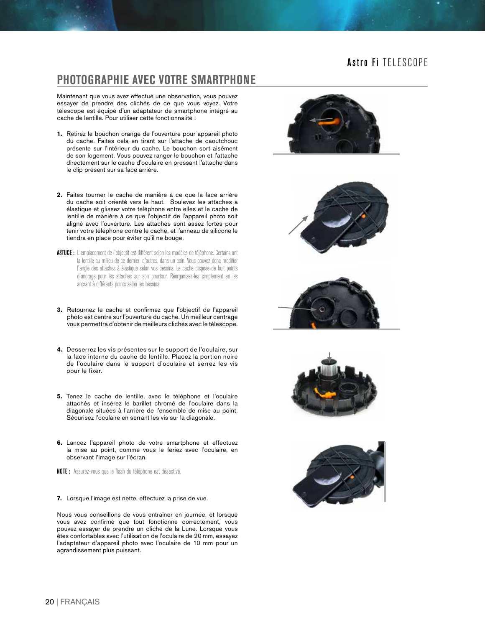### **PHOTOGRAPHIE AVEC VOTRE SMARTPHONE**

Maintenant que vous avez effectué une observation, vous pouvez essayer de prendre des clichés de ce que vous voyez. Votre télescope est équipé d'un adaptateur de smartphone intégré au cache de lentille. Pour utiliser cette fonctionnalité :

- **1.** Retirez le bouchon orange de l'ouverture pour appareil photo du cache. Faites cela en tirant sur l'attache de caoutchouc présente sur l'intérieur du cache. Le bouchon sort aisément de son logement. Vous pouvez ranger le bouchon et l'attache directement sur le cache d'oculaire en pressant l'attache dans le clip présent sur sa face arrière.
- **2.** Faites tourner le cache de manière à ce que la face arrière du cache soit orienté vers le haut. Soulevez les attaches à élastique et glissez votre téléphone entre elles et le cache de lentille de manière à ce que l'objectif de l'appareil photo soit aligné avec l'ouverture. Les attaches sont assez fortes pour tenir votre téléphone contre le cache, et l'anneau de silicone le tiendra en place pour éviter qu'il ne bouge.
- ASTUCE : L'emplacement de l'objectif est différent selon les modèles de téléphone. Certains ont la lentille au milieu de ce dernier, d'autres, dans un coin. Vous pouvez donc modifier l'angle des attaches à élastique selon vos besoins. Le cache dispose de huit points d'ancrage pour les attaches sur son pourtour. Réorganisez-les simplement en les ancrant à différents points selon les besoins.
- **3.** Retournez le cache et confirmez que l'objectif de l'appareil photo est centré sur l'ouverture du cache. Un meilleur centrage vous permettra d'obtenir de meilleurs clichés avec le télescope.
- **4.** Desserrez les vis présentes sur le support de l'oculaire, sur la face interne du cache de lentille. Placez la portion noire de l'oculaire dans le support d'oculaire et serrez les vis pour le fixer.
- **5.** Tenez le cache de lentille, avec le téléphone et l'oculaire attachés et insérez le barillet chromé de l'oculaire dans la diagonale situées à l'arrière de l'ensemble de mise au point. Sécurisez l'oculaire en serrant les vis sur la diagonale.
- **6.** Lancez l'appareil photo de votre smartphone et effectuez la mise au point, comme vous le feriez avec l'oculaire, en observant l'image sur l'écran.

NOTE : Assurez-vous que le flash du téléphone est désactivé.

**7.** Lorsque l'image est nette, effectuez la prise de vue.

Nous vous conseillons de vous entraîner en journée, et lorsque vous avez confirmé que tout fonctionne correctement, vous pouvez essayer de prendre un cliché de la Lune. Lorsque vous êtes confortables avec l'utilisation de l'oculaire de 20 mm, essayez l'adaptateur d'appareil photo avec l'oculaire de 10 mm pour un agrandissement plus puissant.









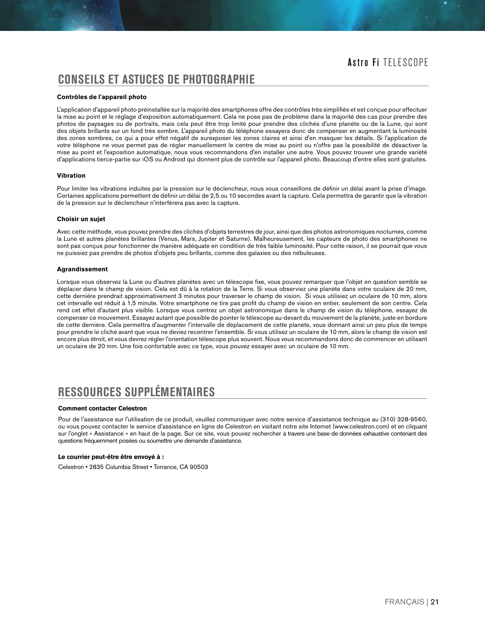### **CONSEILS ET ASTUCES DE PHOTOGRAPHIE**

#### **Contrôles de l'appareil photo**

L'application d'appareil photo préinstallée sur la majorité des smartphones offre des contrôles très simplifiés et est conçue pour effectuer la mise au point et le réglage d'exposition automatiquement. Cela ne pose pas de problème dans la majorité des cas pour prendre des photos de paysages ou de portraits, mais cela peut être trop limité pour prendre des clichés d'une planète ou de la Lune, qui sont des objets brillants sur un fond très sombre. L'appareil photo du téléphone essayera donc de compenser en augmentant la luminosité des zones sombres, ce qui a pour effet négatif de surexposer les zones claires et ainsi d'en masquer les détails. Si l'application de votre téléphone ne vous permet pas de régler manuellement le centre de mise au point ou n'offre pas la possibilité de désactiver la mise au point et l'exposition automatique, nous vous recommandons d'en installer une autre. Vous pouvez trouver une grande variété d'applications tierce-partie sur iOS ou Android qui donnent plus de contrôle sur l'appareil photo. Beaucoup d'entre elles sont gratuites.

#### **Vibration**

Pour limiter les vibrations induites par la pression sur le déclencheur, nous vous conseillons de définir un délai avant la prise d'image. Certaines applications permettent de définir un délai de 2,5 ou 10 secondes avant la capture. Cela permettra de garantir que la vibration de la pression sur le déclencheur n'interférera pas avec la capture.

#### **Choisir un sujet**

Avec cette méthode, vous pouvez prendre des clichés d'objets terrestres de jour, ainsi que des photos astronomiques nocturnes, comme la Lune et autres planètes brillantes (Venus, Mars, Jupiter et Saturne). Malheureusement, les capteurs de photo des smartphones ne sont pas conçus pour fonctionner de manière adéquate en condition de très faible luminosité. Pour cette raison, il se pourrait que vous ne puissiez pas prendre de photos d'objets peu brillants, comme des galaxies ou des nébuleuses.

#### **Agrandissement**

Lorsque vous observez la Lune ou d'autres planètes avec un télescope fixe, vous pouvez remarquer que l'objet en question semble se déplacer dans le champ de vision. Cela est dû à la rotation de la Terre. Si vous observiez une planète dans votre oculaire de 20 mm, cette dernière prendrait approximativement 3 minutes pour traverser le champ de vision. Si vous utilisiez un oculaire de 10 mm, alors cet intervalle est réduit à 1,5 minute. Votre smartphone ne tire pas profit du champ de vision en entier, seulement de son centre. Cela rend cet effet d'autant plus visible. Lorsque vous centrez un objet astronomique dans le champ de vision du téléphone, essayez de compenser ce mouvement. Essayez autant que possible de pointer le télescope au-devant du mouvement de la planète, juste en bordure de cette dernière. Cela permettra d'augmenter l'intervalle de déplacement de cette planète, vous donnant ainsi un peu plus de temps pour prendre le cliché avant que vous ne deviez recentrer l'ensemble. Si vous utilisez un oculaire de 10 mm, alors le champ de vision est encore plus étroit, et vous devrez régler l'orientation télescope plus souvent. Nous vous recommandons donc de commencer en utilisant un oculaire de 20 mm. Une fois confortable avec ce type, vous pouvez essayer avec un oculaire de 10 mm.

### **RESSOURCES SUPPLÉMENTAIRES**

#### **Comment contacter Celestron**

Pour de l'assistance sur l'utilisation de ce produit, veuillez communiquer avec notre service d'assistance technique au (310) 328-9560, ou vous pouvez contacter le service d'assistance en ligne de Celestron en visitant notre site Internet (www.celestron.com) et en cliquant sur l'onglet « Assistance » en haut de la page. Sur ce site, vous pouvez rechercher à travers une base de données exhaustive contenant des questions fréquemment posées ou soumettre une demande d'assistance.

#### **Le courrier peut-être être envoyé à :**

Celestron • 2835 Columbia Street • Torrance, CA 90503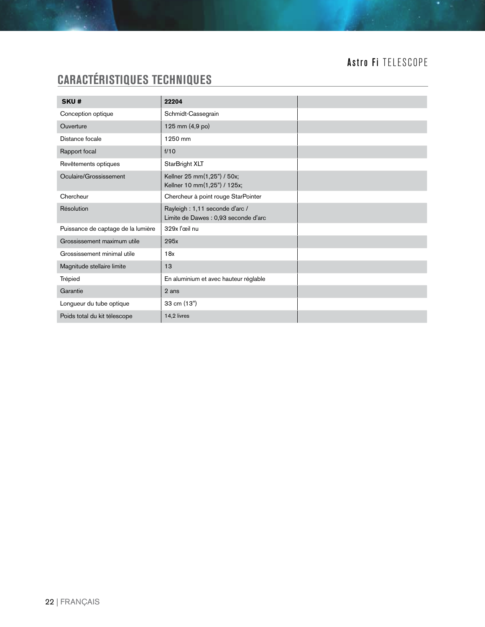# **CARACTÉRISTIQUES TECHNIQUES**

| SKU#                               | 22204                                                                  |
|------------------------------------|------------------------------------------------------------------------|
| Conception optique                 | Schmidt-Cassegrain                                                     |
| Ouverture                          | 125 mm (4,9 po)                                                        |
| Distance focale                    | 1250 mm                                                                |
| Rapport focal                      | f/10                                                                   |
| Revêtements optiques               | StarBright XLT                                                         |
| Oculaire/Grossissement             | Kellner 25 mm(1,25") / 50x;<br>Kellner 10 mm(1,25") / 125x;            |
| Chercheur                          | Chercheur à point rouge StarPointer                                    |
| Résolution                         | Rayleigh: 1,11 seconde d'arc /<br>Limite de Dawes : 0,93 seconde d'arc |
| Puissance de captage de la lumière | 329x l'œil nu                                                          |
| Grossissement maximum utile        | 295x                                                                   |
| Grossissement minimal utile        | 18x                                                                    |
| Magnitude stellaire limite         | 13                                                                     |
| Trépied                            | En aluminium et avec hauteur réglable                                  |
| Garantie                           | 2 ans                                                                  |
| Longueur du tube optique           | 33 cm (13")                                                            |
| Poids total du kit télescope       | 14,2 livres                                                            |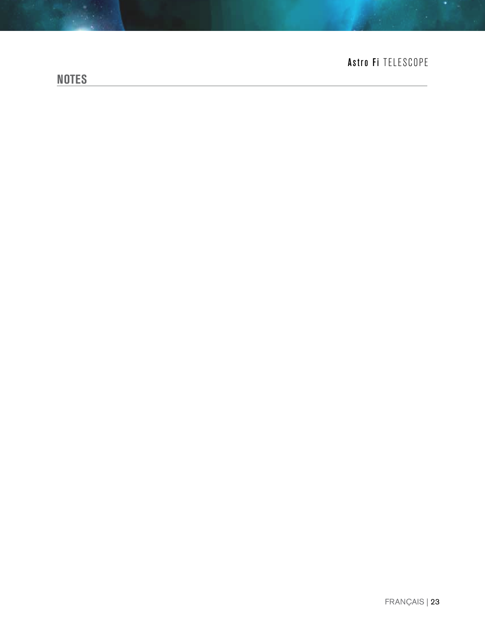# **NOTES**

# Astro Fi TELESCOPE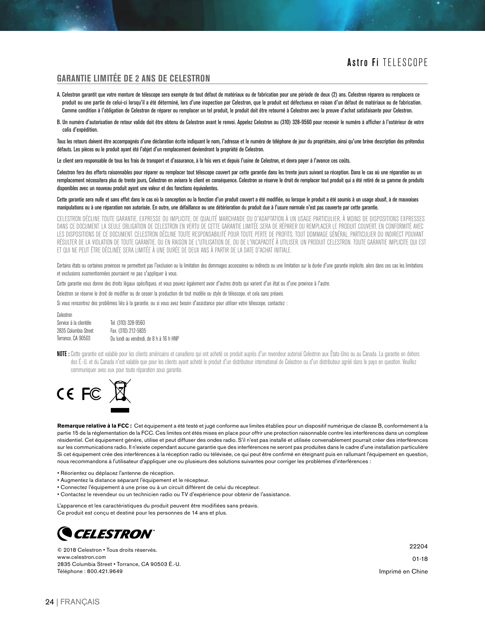#### **GARANTIE LIMITÉE DE 2 ANS DE CELESTRON**

- A. Celestron garantit que votre monture de télescope sera exempte de tout défaut de matériaux ou de fabrication pour une période de deux (2) ans. Celestron réparera ou remplacera ce produit ou une partie de celui-ci lorsqu'il a été déterminé, lors d'une inspection par Celestron, que le produit est défectueux en raison d'un défaut de matériaux ou de fabrication. Comme condition à l'obligation de Celestron de réparer ou remplacer un tel produit, le produit doit être retourné à Celestron avec la preuve d'achat satisfaisante pour Celestron.
- B. Un numéro d'autorisation de retour valide doit être obtenu de Celestron avant le renvoi. Appelez Celestron au (310) 328-9560 pour recevoir le numéro à afficher à l'extérieur de votre colis d'expédition.

Tous les retours doivent être accompagnés d'une déclaration écrite indiquant le nom, l'adresse et le numéro de téléphone de jour du propriétaire, ainsi qu'une brève description des prétendus défauts. Les pièces ou le produit ayant été l'objet d'un remplacement deviendront la propriété de Celestron.

Le client sera responsable de tous les frais de transport et d'assurance, à la fois vers et depuis l'usine de Celestron, et devra payer à l'avance ces coûts.

Celestron fera des efforts raisonnables pour réparer ou remplacer tout télescope couvert par cette garantie dans les trente jours suivant sa réception. Dans le cas où une réparation ou un remplacement nécessitera plus de trente jours, Celestron en avisera le client en conséquence. Celestron se réserve le droit de remplacer tout produit qui a été retiré de sa gamme de produits disponibles avec un nouveau produit ayant une valeur et des fonctions équivalentes.

#### Cette garantie sera nulle et sans effet dans le cas où la conception ou la fonction d'un produit couvert a été modifiée, ou lorsque le produit a été soumis à un usage abusif, à de mauvaises manipulations ou à une réparation non autorisée. En outre, une défaillance ou une détérioration du produit due à l'usure normale n'est pas couverte par cette garantie.

CELESTRON DÉCLINE TOUTE GARANTIE, EXPRESSE OU IMPLICITE, DE QUALITÉ MARCHANDE OU D'ADAPTATION À UN USAGE PARTICULIER, À MOINS DE DISPOSITIONS EXPRESSES DANS CE DOCUMENT. LA SEULE OBLIGATION DE CELESTRON EN VERTU DE CETTE GARANTIE LIMITÉE SERA DE RÉPARER OU REMPLACER LE PRODUIT COUVERT, EN CONFORMITÉ AVEC LES DISPOSITIONS DE CE DOCUMENT. CELESTRON DÉCLINE TOUTE RESPONSABILITÉ POUR TOUTE PERTE DE PROFITS, TOUT DOMMAGE GÉNÉRAL, PARTICULIER OU INDIRECT POUVANT RÉSULTER DE LA VIOLATION DE TOUTE GARANTIE, OU EN RAISON DE L'UTILISATION DE, OU DE L'INCAPACITÉ À UTILISER, UN PRODUIT CELESTRON. TOUTE GARANTIE IMPLICITE QUI EST ET QUI NE PEUT ÊTRE DÉCLINÉE SERA LIMITÉE À UNE DURÉE DE DEUX ANS À PARTIR DE LA DATE D'ACHAT INITIALE.

Certains états ou certaines provinces ne permettent pas l'exclusion ou la limitation des dommages accessoires ou indirects ou une limitation sur la durée d'une garantie implicite, alors dans ces cas les limitations et exclusions susmentionnées pourraient ne pas s'appliquer à vous.

Cette garantie vous donne des droits légaux spécifiques, et vous pouvez également avoir d'autres droits qui varient d'un état ou d'une province à l'autre.

Celestron se réserve le droit de modifier ou de cesser la production de tout modèle ou style de télescope, et cela sans préavis.

Si vous rencontrez des problèmes liés à la garantie, ou si vous avez besoin d'assistance pour utiliser votre télescope, contactez :

| Celestron              |                                         |
|------------------------|-----------------------------------------|
| Service à la clientèle | Tel. (310) 328-9560                     |
| 2835 Columbia Street   | Fax. (310) 212-5835                     |
| Torrance. CA 90503     | Du lundi au vendredi, de 8 h à 16 h HNP |

NOTE : Cette garantie est valable pour les clients américains et canadiens qui ont acheté ce produit auprès d'un revendeur autorisé Celestron aux États-Unis ou au Canada. La garantie en dehors des É.-U. et du Canada n'est valable que pour les clients ayant acheté le produit d'un distributeur international de Celestron ou d'un distributeur agréé dans le pays en question. Veuillez communiquer avec eux pour toute réparation sous garantie.



**Remarque relative à la FCC :** Cet équipement a été testé et jugé conforme aux limites établies pour un dispositif numérique de classe B, conformément à la partie 15 de la réglementation de la FCC. Ces limites ont étés mises en place pour offrir une protection raisonnable contre les interférences dans un complexe résidentiel. Cet équipement génère, utilise et peut diffuser des ondes radio. S'il n'est pas installé et utilisée convenablement pourrait créer des interférences sur les communications radio. Il n'existe cependant aucune garantie que des interférences ne seront pas produites dans le cadre d'une installation particulière Si cet équipement crée des interférences à la réception radio ou télévisée, ce qui peut être confirmé en éteignant puis en rallumant l'équipement en question, nous recommandons à l'utilisateur d'appliquer une ou plusieurs des solutions suivantes pour corriger les problèmes d'interférences :

- Réorientez ou déplacez l'antenne de réception.
- Augmentez la distance séparant l'équipement et le récepteur.
- Connectez l'équipement à une prise ou à un circuit différent de celui du récepteur.
- Contactez le revendeur ou un technicien radio ou TV d'expérience pour obtenir de l'assistance.

L'apparence et les caractéristiques du produit peuvent être modifiées sans préavis. Ce produit est conçu et destiné pour les personnes de 14 ans et plus.



© 2018 Celestron • Tous droits réservés. www.celestron.com 2835 Columbia Street • Torrance, CA 90503 É.-U. Téléphone : 800.421.9649

22204

01-18

Imprimé en Chine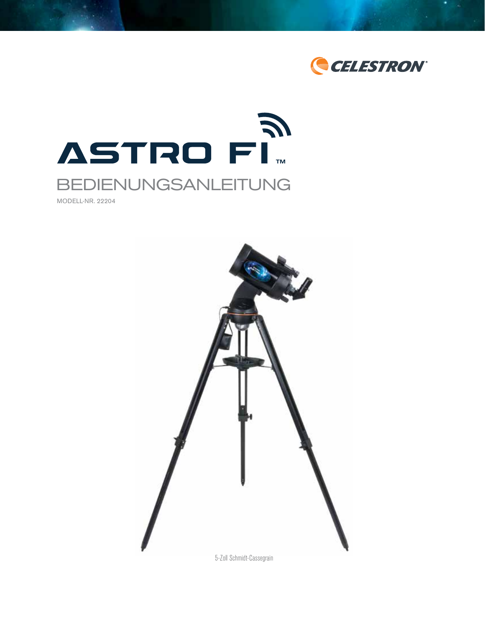



MODELL-NR. 22204

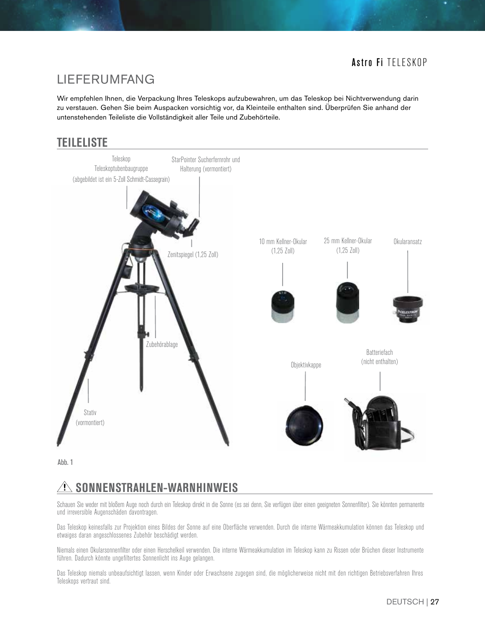# LIEFERUMFANG

Wir empfehlen Ihnen, die Verpackung Ihres Teleskops aufzubewahren, um das Teleskop bei Nichtverwendung darin zu verstauen. Gehen Sie beim Auspacken vorsichtig vor, da Kleinteile enthalten sind. Überprüfen Sie anhand der untenstehenden Teileliste die Vollständigkeit aller Teile und Zubehörteile.

# **TEILELISTE**



Abb. 1

# *A* **SONNENSTRAHLEN-WARNHINWEIS**

Schauen Sie weder mit bloßem Auge noch durch ein Teleskop direkt in die Sonne (es sei denn, Sie verfügen über einen geeigneten Sonnenfilter). Sie könnten permanente und irreversible Augenschäden davontragen.

Das Teleskop keinesfalls zur Projektion eines Bildes der Sonne auf eine Oberfläche verwenden. Durch die interne Wärmeakkumulation können das Teleskop und etwaiges daran angeschlossenes Zubehör beschädigt werden.

Niemals einen Okularsonnenfilter oder einen Herschelkeil verwenden. Die interne Wärmeakkumulation im Teleskop kann zu Rissen oder Brüchen dieser Instrumente führen. Dadurch könnte ungefiltertes Sonnenlicht ins Auge gelangen.

Das Teleskop niemals unbeaufsichtigt lassen, wenn Kinder oder Erwachsene zugegen sind, die möglicherweise nicht mit den richtigen Betriebsverfahren Ihres Teleskops vertraut sind.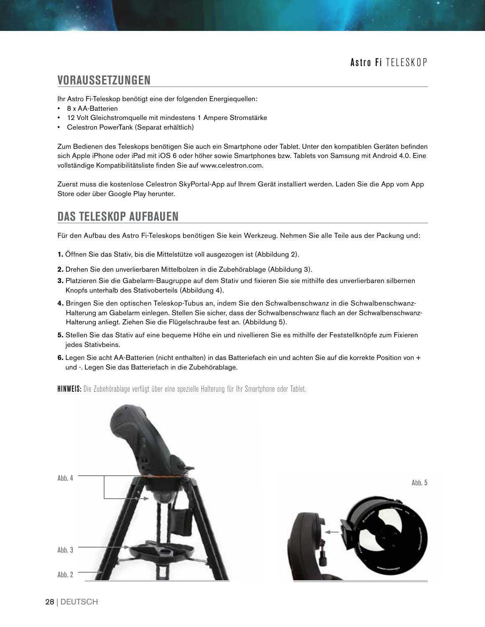### **VORAUSSETZUNGEN**

Ihr Astro Fi-Teleskop benötigt eine der folgenden Energiequellen:

- 8 x AA-Batterien
- 12 Volt Gleichstromquelle mit mindestens 1 Ampere Stromstärke
- Celestron PowerTank (Separat erhältlich)

Zum Bedienen des Teleskops benötigen Sie auch ein Smartphone oder Tablet. Unter den kompatiblen Geräten befinden sich Apple iPhone oder iPad mit iOS 6 oder höher sowie Smartphones bzw. Tablets von Samsung mit Android 4.0. Eine vollständige Kompatibilitätsliste finden Sie auf www.celestron.com.

Zuerst muss die kostenlose Celestron SkyPortal-App auf Ihrem Gerät installiert werden. Laden Sie die App vom App Store oder über Google Play herunter.

### **DAS TELESKOP AUFBAUEN**

Für den Aufbau des Astro Fi-Teleskops benötigen Sie kein Werkzeug. Nehmen Sie alle Teile aus der Packung und:

- **1.** Öffnen Sie das Stativ, bis die Mittelstütze voll ausgezogen ist (Abbildung 2).
- **2.** Drehen Sie den unverlierbaren Mittelbolzen in die Zubehörablage (Abbildung 3).
- **3.** Platzieren Sie die Gabelarm-Baugruppe auf dem Stativ und fixieren Sie sie mithilfe des unverlierbaren silbernen Knopfs unterhalb des Stativoberteils (Abbildung 4).
- **4.** Bringen Sie den optischen Teleskop-Tubus an, indem Sie den Schwalbenschwanz in die Schwalbenschwanz-Halterung am Gabelarm einlegen. Stellen Sie sicher, dass der Schwalbenschwanz flach an der Schwalbenschwanz-Halterung anliegt. Ziehen Sie die Flügelschraube fest an. (Abbildung 5).
- **5.** Stellen Sie das Stativ auf eine bequeme Höhe ein und nivellieren Sie es mithilfe der Feststellknöpfe zum Fixieren jedes Stativbeins.
- **6.** Legen Sie acht AA-Batterien (nicht enthalten) in das Batteriefach ein und achten Sie auf die korrekte Position von + und -. Legen Sie das Batteriefach in die Zubehörablage.

**HINWEIS:** Die Zubehörablage verfügt über eine spezielle Halterung für Ihr Smartphone oder Tablet.



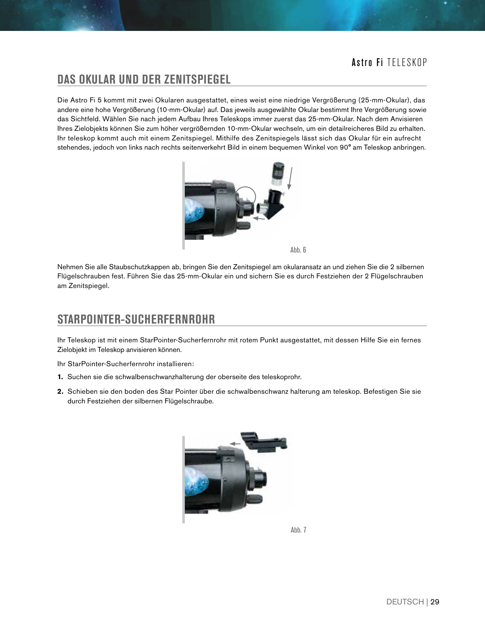### **DAS OKULAR UND DER ZENITSPIEGEL**

Die Astro Fi 5 kommt mit zwei Okularen ausgestattet, eines weist eine niedrige Vergrößerung (25-mm-Okular), das andere eine hohe Vergrößerung (10-mm-Okular) auf. Das jeweils ausgewählte Okular bestimmt Ihre Vergrößerung sowie das Sichtfeld. Wählen Sie nach jedem Aufbau Ihres Teleskops immer zuerst das 25-mm-Okular. Nach dem Anvisieren Ihres Zielobjekts können Sie zum höher vergrößernden 10-mm-Okular wechseln, um ein detailreicheres Bild zu erhalten. Ihr teleskop kommt auch mit einem Zenitspiegel. Mithilfe des Zenitspiegels lässt sich das Okular für ein aufrecht stehendes, jedoch von links nach rechts seitenverkehrt Bild in einem bequemen Winkel von 90° am Teleskop anbringen.



Abb. 6

Nehmen Sie alle Staubschutzkappen ab, bringen Sie den Zenitspiegel am okularansatz an und ziehen Sie die 2 silbernen Flügelschrauben fest. Führen Sie das 25-mm-Okular ein und sichern Sie es durch Festziehen der 2 Flügelschrauben am Zenitspiegel.

### **STARPOINTER-SUCHERFERNROHR**

Ihr Teleskop ist mit einem StarPointer-Sucherfernrohr mit rotem Punkt ausgestattet, mit dessen Hilfe Sie ein fernes Zielobjekt im Teleskop anvisieren können.

Ihr StarPointer-Sucherfernrohr installieren:

- **1.** Suchen sie die schwalbenschwanzhalterung der oberseite des teleskoprohr.
- **2.** Schieben sie den boden des Star Pointer über die schwalbenschwanz halterung am teleskop. Befestigen Sie sie durch Festziehen der silbernen Flügelschraube.



Abb. 7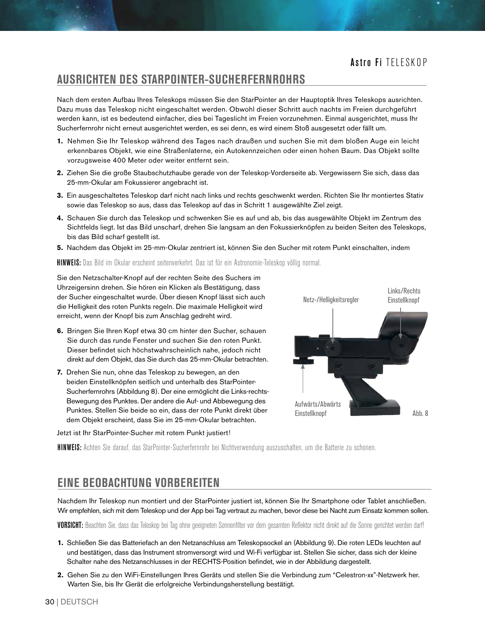#### **AUSRICHTEN DES STARPOINTER-SUCHERFERNROHRS**

Nach dem ersten Aufbau Ihres Teleskops müssen Sie den StarPointer an der Hauptoptik Ihres Teleskops ausrichten. Dazu muss das Teleskop nicht eingeschaltet werden. Obwohl dieser Schritt auch nachts im Freien durchgeführt werden kann, ist es bedeutend einfacher, dies bei Tageslicht im Freien vorzunehmen. Einmal ausgerichtet, muss Ihr Sucherfernrohr nicht erneut ausgerichtet werden, es sei denn, es wird einem Stoß ausgesetzt oder fällt um.

- **1.** Nehmen Sie Ihr Teleskop während des Tages nach draußen und suchen Sie mit dem bloßen Auge ein leicht erkennbares Objekt, wie eine Straßenlaterne, ein Autokennzeichen oder einen hohen Baum. Das Objekt sollte vorzugsweise 400 Meter oder weiter entfernt sein.
- **2.** Ziehen Sie die große Staubschutzhaube gerade von der Teleskop-Vorderseite ab. Vergewissern Sie sich, dass das 25-mm-Okular am Fokussierer angebracht ist.
- **3.** Ein ausgeschaltetes Teleskop darf nicht nach links und rechts geschwenkt werden. Richten Sie Ihr montiertes Stativ sowie das Teleskop so aus, dass das Teleskop auf das in Schritt 1 ausgewählte Ziel zeigt.
- **4.** Schauen Sie durch das Teleskop und schwenken Sie es auf und ab, bis das ausgewählte Objekt im Zentrum des Sichtfelds liegt. Ist das Bild unscharf, drehen Sie langsam an den Fokussierknöpfen zu beiden Seiten des Teleskops, bis das Bild scharf gestellt ist.
- **5.** Nachdem das Objekt im 25-mm-Okular zentriert ist, können Sie den Sucher mit rotem Punkt einschalten, indem

HINWEIS: Das Bild im Okular erscheint seitenverkehrt. Das ist für ein Astronomie-Teleskop völlig normal.

Sie den Netzschalter-Knopf auf der rechten Seite des Suchers im Uhrzeigersinn drehen. Sie hören ein Klicken als Bestätigung, dass der Sucher eingeschaltet wurde. Über diesen Knopf lässt sich auch die Helligkeit des roten Punkts regeln. Die maximale Helligkeit wird erreicht, wenn der Knopf bis zum Anschlag gedreht wird.

- **6.** Bringen Sie Ihren Kopf etwa 30 cm hinter den Sucher, schauen Sie durch das runde Fenster und suchen Sie den roten Punkt. Dieser befindet sich höchstwahrscheinlich nahe, jedoch nicht direkt auf dem Objekt, das Sie durch das 25-mm-Okular betrachten.
- **7.** Drehen Sie nun, ohne das Teleskop zu bewegen, an den beiden Einstellknöpfen seitlich und unterhalb des StarPointer-Sucherfernrohrs (Abbildung 8). Der eine ermöglicht die Links-rechts-Bewegung des Punktes. Der andere die Auf- und Abbewegung des Punktes. Stellen Sie beide so ein, dass der rote Punkt direkt über dem Objekt erscheint, dass Sie im 25-mm-Okular betrachten.

Jetzt ist Ihr StarPointer-Sucher mit rotem Punkt justiert!



HINWEIS: Achten Sie darauf, das StarPointer-Sucherfernrohr bei Nichtverwendung auszuschalten, um die Batterie zu schonen.

### **EINE BEOBACHTUNG VORBEREITEN**

Nachdem Ihr Teleskop nun montiert und der StarPointer justiert ist, können Sie Ihr Smartphone oder Tablet anschließen. Wir empfehlen, sich mit dem Teleskop und der App bei Tag vertraut zu machen, bevor diese bei Nacht zum Einsatz kommen sollen.

VORSICHT: Beachten Sie, dass das Teleskop bei Tag ohne geeigneten Sonnenfilter vor dem gesamten Reflektor nicht direkt auf die Sonne gerichtet werden darf!

- **1.** Schließen Sie das Batteriefach an den Netzanschluss am Teleskopsockel an (Abbildung 9). Die roten LEDs leuchten auf und bestätigen, dass das Instrument stromversorgt wird und Wi-Fi verfügbar ist. Stellen Sie sicher, dass sich der kleine Schalter nahe des Netzanschlusses in der RECHTS-Position befindet, wie in der Abbildung dargestellt.
- **2.** Gehen Sie zu den WiFi-Einstellungen Ihres Geräts und stellen Sie die Verbindung zum "Celestron-xx"-Netzwerk her. Warten Sie, bis Ihr Gerät die erfolgreiche Verbindungsherstellung bestätigt.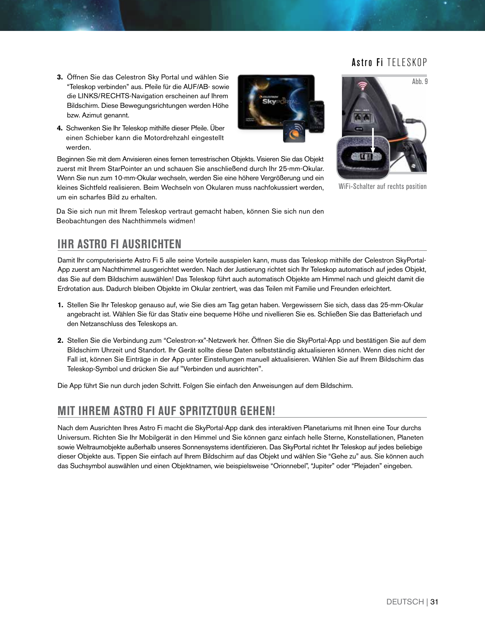Ahh. 9

- **3.** Öffnen Sie das Celestron Sky Portal und wählen Sie "Teleskop verbinden" aus. Pfeile für die AUF/AB- sowie die LINKS/RECHTS-Navigation erscheinen auf Ihrem Bildschirm. Diese Bewegungsrichtungen werden Höhe bzw. Azimut genannt.
- **4.** Schwenken Sie Ihr Teleskop mithilfe dieser Pfeile. Über einen Schieber kann die Motordrehzahl eingestellt werden.

Beginnen Sie mit dem Anvisieren eines fernen terrestrischen Objekts. Visieren Sie das Objekt zuerst mit Ihrem StarPointer an und schauen Sie anschließend durch Ihr 25-mm-Okular. Wenn Sie nun zum 10-mm-Okular wechseln, werden Sie eine höhere Vergrößerung und ein kleines Sichtfeld realisieren. Beim Wechseln von Okularen muss nachfokussiert werden, um ein scharfes Bild zu erhalten.

Da Sie sich nun mit Ihrem Teleskop vertraut gemacht haben, können Sie sich nun den Beobachtungen des Nachthimmels widmen!



WiFi-Schalter auf rechts position

# **IHR ASTRO FI AUSRICHTEN**

Damit Ihr computerisierte Astro Fi 5 alle seine Vorteile ausspielen kann, muss das Teleskop mithilfe der Celestron SkyPortal-App zuerst am Nachthimmel ausgerichtet werden. Nach der Justierung richtet sich Ihr Teleskop automatisch auf jedes Objekt, das Sie auf dem Bildschirm auswählen! Das Teleskop führt auch automatisch Objekte am Himmel nach und gleicht damit die Erdrotation aus. Dadurch bleiben Objekte im Okular zentriert, was das Teilen mit Familie und Freunden erleichtert.

- **1.** Stellen Sie Ihr Teleskop genauso auf, wie Sie dies am Tag getan haben. Vergewissern Sie sich, dass das 25-mm-Okular angebracht ist. Wählen Sie für das Stativ eine bequeme Höhe und nivellieren Sie es. Schließen Sie das Batteriefach und den Netzanschluss des Teleskops an.
- **2.** Stellen Sie die Verbindung zum "Celestron-xx"-Netzwerk her. Öffnen Sie die SkyPortal-App und bestätigen Sie auf dem Bildschirm Uhrzeit und Standort. Ihr Gerät sollte diese Daten selbstständig aktualisieren können. Wenn dies nicht der Fall ist, können Sie Einträge in der App unter Einstellungen manuell aktualisieren. Wählen Sie auf Ihrem Bildschirm das Teleskop-Symbol und drücken Sie auf "Verbinden und ausrichten".

Die App führt Sie nun durch jeden Schritt. Folgen Sie einfach den Anweisungen auf dem Bildschirm.

### **MIT IHREM ASTRO FI AUF SPRITZTOUR GEHEN!**

Nach dem Ausrichten Ihres Astro Fi macht die SkyPortal-App dank des interaktiven Planetariums mit Ihnen eine Tour durchs Universum. Richten Sie Ihr Mobilgerät in den Himmel und Sie können ganz einfach helle Sterne, Konstellationen, Planeten sowie Weltraumobjekte außerhalb unseres Sonnensystems identifizieren. Das SkyPortal richtet Ihr Teleskop auf jedes beliebige dieser Objekte aus. Tippen Sie einfach auf Ihrem Bildschirm auf das Objekt und wählen Sie "Gehe zu" aus. Sie können auch das Suchsymbol auswählen und einen Objektnamen, wie beispielsweise "Orionnebel", "Jupiter" oder "Plejaden" eingeben.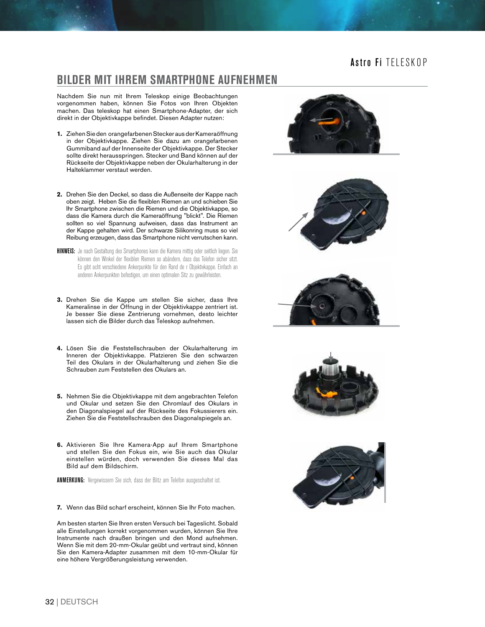#### **BILDER MIT IHREM SMARTPHONE AUFNEHMEN**

Nachdem Sie nun mit Ihrem Teleskop einige Beobachtungen vorgenommen haben, können Sie Fotos von Ihren Objekten machen. Das teleskop hat einen Smartphone-Adapter, der sich direkt in der Objektivkappe befindet. Diesen Adapter nutzen:

- **1.** Ziehen Sie den orangefarbenen Stecker aus der Kameraöffnung in der Objektivkappe. Ziehen Sie dazu am orangefarbenen Gummiband auf der Innenseite der Objektivkappe. Der Stecker sollte direkt herausspringen. Stecker und Band können auf der Rückseite der Objektivkappe neben der Okularhalterung in der Halteklammer verstaut werden.
- **2.** Drehen Sie den Deckel, so dass die Außenseite der Kappe nach oben zeigt. Heben Sie die flexiblen Riemen an und schieben Sie Ihr Smartphone zwischen die Riemen und die Objektivkappe, so dass die Kamera durch die Kameraöffnung "blickt". Die Riemen sollten so viel Spannung aufweisen, dass das Instrument an der Kappe gehalten wird. Der schwarze Silikonring muss so viel Reibung erzeugen, dass das Smartphone nicht verrutschen kann.
- **HINWEIS:** Je nach Gestaltung des Smartphones kann die Kamera mittig oder seitlich liegen. Sie können den Winkel der flexiblen Riemen so abändern, dass das Telefon sicher sitzt. Es gibt acht verschiedene Ankerpunkte für den Rand de r Objektivkappe. Einfach an anderen Ankerpunkten befestigen, um einen optimalen Sitz zu gewährleisten.
- **3.** Drehen Sie die Kappe um stellen Sie sicher, dass Ihre Kameralinse in der Öffnung in der Objektivkappe zentriert ist. Je besser Sie diese Zentrierung vornehmen, desto leichter lassen sich die Bilder durch das Teleskop aufnehmen.
- **4.** Lösen Sie die Feststellschrauben der Okularhalterung im Inneren der Objektivkappe. Platzieren Sie den schwarzen Teil des Okulars in der Okularhalterung und ziehen Sie die Schrauben zum Feststellen des Okulars an.
- **5.** Nehmen Sie die Objektivkappe mit dem angebrachten Telefon und Okular und setzen Sie den Chromlauf des Okulars in den Diagonalspiegel auf der Rückseite des Fokussierers ein. Ziehen Sie die Feststellschrauben des Diagonalspiegels an.
- **6.** Aktivieren Sie Ihre Kamera-App auf Ihrem Smartphone und stellen Sie den Fokus ein, wie Sie auch das Okular einstellen würden, doch verwenden Sie dieses Mal das Bild auf dem Bildschirm.

ANMERKUNG: Vergewissern Sie sich, dass der Blitz am Telefon ausgeschaltet ist.

**7.** Wenn das Bild scharf erscheint, können Sie Ihr Foto machen.

Am besten starten Sie Ihren ersten Versuch bei Tageslicht. Sobald alle Einstellungen korrekt vorgenommen wurden, können Sie Ihre Instrumente nach draußen bringen und den Mond aufnehmen. Wenn Sie mit dem 20-mm-Okular geübt und vertraut sind, können Sie den Kamera-Adapter zusammen mit dem 10-mm-Okular für eine höhere Vergrößerungsleistung verwenden.









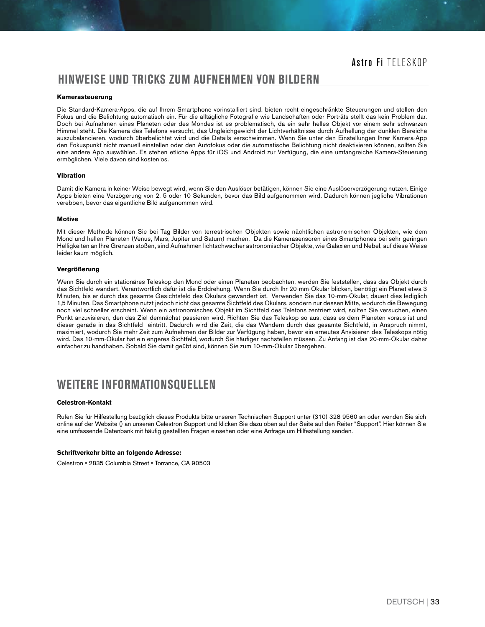#### **HINWEISE UND TRICKS ZUM AUFNEHMEN VON BILDERN**

#### **Kamerasteuerung**

Die Standard-Kamera-Apps, die auf Ihrem Smartphone vorinstalliert sind, bieten recht eingeschränkte Steuerungen und stellen den Fokus und die Belichtung automatisch ein. Für die alltägliche Fotografie wie Landschaften oder Porträts stellt das kein Problem dar. Doch bei Aufnahmen eines Planeten oder des Mondes ist es problematisch, da ein sehr helles Objekt vor einem sehr schwarzen Himmel steht. Die Kamera des Telefons versucht, das Ungleichgewicht der Lichtverhältnisse durch Aufhellung der dunklen Bereiche auszubalancieren, wodurch überbelichtet wird und die Details verschwimmen. Wenn Sie unter den Einstellungen Ihrer Kamera-App den Fokuspunkt nicht manuell einstellen oder den Autofokus oder die automatische Belichtung nicht deaktivieren können, sollten Sie eine andere App auswählen. Es stehen etliche Apps für iOS und Android zur Verfügung, die eine umfangreiche Kamera-Steuerung ermöglichen. Viele davon sind kostenlos.

#### **Vibration**

Damit die Kamera in keiner Weise bewegt wird, wenn Sie den Auslöser betätigen, können Sie eine Auslöserverzögerung nutzen. Einige Apps bieten eine Verzögerung von 2, 5 oder 10 Sekunden, bevor das Bild aufgenommen wird. Dadurch können jegliche Vibrationen verebben, bevor das eigentliche Bild aufgenommen wird.

#### **Motive**

Mit dieser Methode können Sie bei Tag Bilder von terrestrischen Objekten sowie nächtlichen astronomischen Objekten, wie dem Mond und hellen Planeten (Venus, Mars, Jupiter und Saturn) machen. Da die Kamerasensoren eines Smartphones bei sehr geringen Helligkeiten an Ihre Grenzen stoßen, sind Aufnahmen lichtschwacher astronomischer Objekte, wie Galaxien und Nebel, auf diese Weise leider kaum möglich.

#### **Vergrößerung**

Wenn Sie durch ein stationäres Teleskop den Mond oder einen Planeten beobachten, werden Sie feststellen, dass das Objekt durch das Sichtfeld wandert. Verantwortlich dafür ist die Erddrehung. Wenn Sie durch Ihr 20-mm-Okular blicken, benötigt ein Planet etwa 3 Minuten, bis er durch das gesamte Gesichtsfeld des Okulars gewandert ist. Verwenden Sie das 10-mm-Okular, dauert dies lediglich 1,5 Minuten. Das Smartphone nutzt jedoch nicht das gesamte Sichtfeld des Okulars, sondern nur dessen Mitte, wodurch die Bewegung noch viel schneller erscheint. Wenn ein astronomisches Objekt im Sichtfeld des Telefons zentriert wird, sollten Sie versuchen, einen Punkt anzuvisieren, den das Ziel demnächst passieren wird. Richten Sie das Teleskop so aus, dass es dem Planeten voraus ist und dieser gerade in das Sichtfeld eintritt. Dadurch wird die Zeit, die das Wandern durch das gesamte Sichtfeld, in Anspruch nimmt, maximiert, wodurch Sie mehr Zeit zum Aufnehmen der Bilder zur Verfügung haben, bevor ein erneutes Anvisieren des Teleskops nötig wird. Das 10-mm-Okular hat ein engeres Sichtfeld, wodurch Sie häufiger nachstellen müssen. Zu Anfang ist das 20-mm-Okular daher einfacher zu handhaben. Sobald Sie damit geübt sind, können Sie zum 10-mm-Okular übergehen.

### **WEITERE INFORMATIONSQUELLEN**

#### **Celestron-Kontakt**

Rufen Sie für Hilfestellung bezüglich dieses Produkts bitte unseren Technischen Support unter (310) 328-9560 an oder wenden Sie sich online auf der Website () an unseren Celestron Support und klicken Sie dazu oben auf der Seite auf den Reiter "Support". Hier können Sie eine umfassende Datenbank mit häufig gestellten Fragen einsehen oder eine Anfrage um Hilfestellung senden.

#### **Schriftverkehr bitte an folgende Adresse:**

Celestron • 2835 Columbia Street • Torrance, CA 90503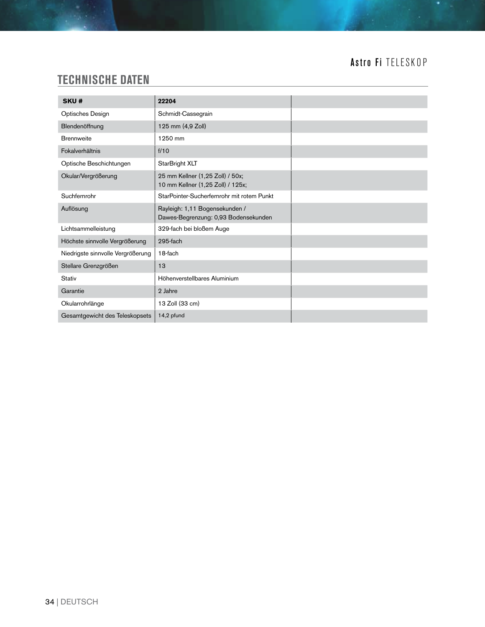# **TECHNISCHE DATEN**

| SKU#                              | 22204                                                                  |
|-----------------------------------|------------------------------------------------------------------------|
| Optisches Design                  | Schmidt-Cassegrain                                                     |
| Blendenöffnung                    | 125 mm (4,9 Zoll)                                                      |
| <b>Brennweite</b>                 | 1250 mm                                                                |
| Fokalverhältnis                   | f/10                                                                   |
| Optische Beschichtungen           | StarBright XLT                                                         |
| Okular/Vergrößerung               | 25 mm Kellner (1,25 Zoll) / 50x;<br>10 mm Kellner (1,25 Zoll) / 125x;  |
| Suchfernrohr                      | StarPointer-Sucherfernrohr mit rotem Punkt                             |
| Auflösung                         | Rayleigh: 1,11 Bogensekunden /<br>Dawes-Begrenzung: 0,93 Bodensekunden |
| Lichtsammelleistung               | 329-fach bei bloßem Auge                                               |
| Höchste sinnvolle Vergrößerung    | 295-fach                                                               |
| Niedrigste sinnvolle Vergrößerung | 18-fach                                                                |
| Stellare Grenzgrößen              | 13                                                                     |
| <b>Stativ</b>                     | Höhenverstellbares Aluminium                                           |
| Garantie                          | 2 Jahre                                                                |
| Okularrohrlänge                   | 13 Zoll (33 cm)                                                        |
| Gesamtgewicht des Teleskopsets    | 14,2 pfund                                                             |

<u> 1989 - Johann Barnett, fransk politiker (</u>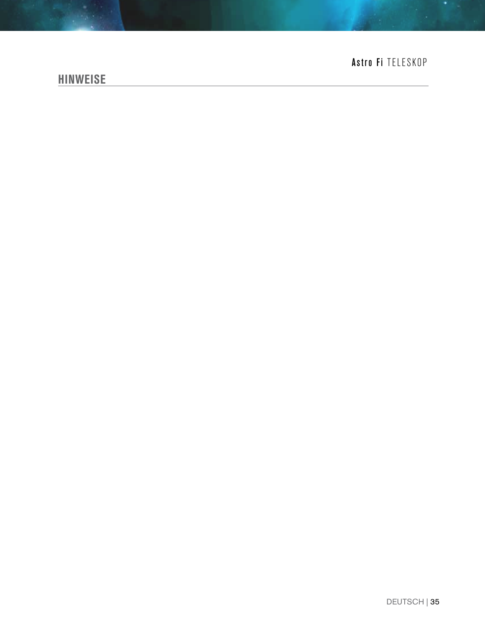### **HINWEISE**

# Astro Fi TELESKOP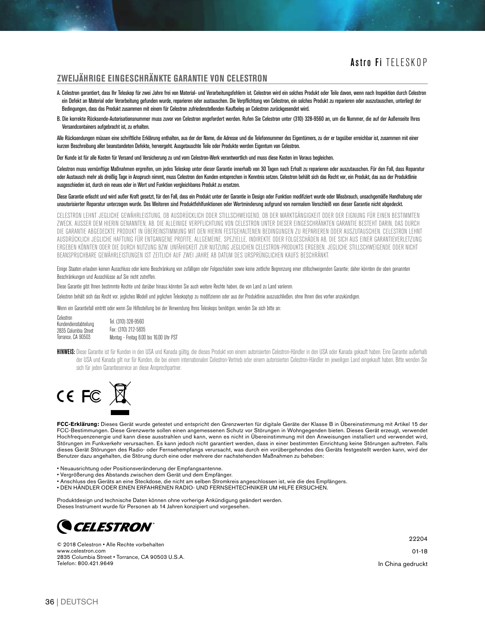#### **ZWEIJÄHRIGE EINGESCHRÄNKTE GARANTIE VON CELESTRON**

- A. Celestron garantiert, dass Ihr Teleskop für zwei Jahre frei von Material- und Verarbeitungsfehlern ist. Celestron wird ein solches Produkt oder Teile davon, wenn nach Inspektion durch Celestron ein Defekt an Material oder Verarbeitung gefunden wurde, reparieren oder austauschen. Die Verpflichtung von Celestron, ein solches Produkt zu reparieren oder auszutauschen, unterliegt der Bedingungen, dass das Produkt zusammen mit einem für Celestron zufriedenstellenden Kaufbeleg an Celestron zurückgesendet wird.
- B. Die korrekte Rücksende-Autorisationsnummer muss zuvor von Celestron angefordert werden. Rufen Sie Celestron unter (310) 328-9560 an, um die Nummer, die auf der Außenseite Ihres Versandcontainers aufgebracht ist, zu erhalten.

Alle Rücksendungen müssen eine schriftliche Erklärung enthalten, aus der der Name, die Adresse und die Telefonnummer des Eigentümers, zu der er tagsüber erreichbar ist, zusammen mit einer kurzen Beschreibung aller beanstandeten Defekte, hervorgeht. Ausgetauschte Teile oder Produkte werden Eigentum von Celestron.

Der Kunde ist für alle Kosten für Versand und Versicherung zu und vom Celestron-Werk verantwortlich und muss diese Kosten im Voraus begleichen.

Celestron muss vernünftige Maßnahmen ergreifen, um jedes Teleskop unter dieser Garantie innerhalb von 30 Tagen nach Erhalt zu reparieren oder auszutauschen. Für den Fall, dass Reparatur oder Austausch mehr als dreißig Tage in Anspruch nimmt, muss Celestron den Kunden entsprechen in Kenntnis setzen. Celestron behält sich das Recht vor, ein Produkt, das aus der Produktlinie ausgeschieden ist, durch ein neues oder in Wert und Funktion vergleichbares Produkt zu ersetzen.

Diese Garantie erlischt und wird außer Kraft gesetzt, für den Fall, dass ein Produkt unter der Garantie in Design oder Funktion modifiziert wurde oder Missbrauch, unsachgemäße Handhabung oder unautorisierter Reparatur unterzogen wurde. Des Weiteren sind Produktfehlfunktionen oder Wertminderung aufgrund von normalem Verschleiß von dieser Garantie nicht abgedeckt.

CELESTRON LEHNT JEGLICHE GEWÄHRLEISTUNG, OB AUSDRÜCKLICH ODER STILLSCHWEIGEND, OB DER MARKTGÄNGIGKEIT ODER DER EIGNUNG FÜR EINEN BESTIMMTEN ZWECK, AUSSER DEM HIERIN GENANNTEN, AB. DIE ALLEINIGE VERPFLICHTUNG VON CELESTRON UNTER DIESER EINGESCHRÄNKTEN GARANTIE BESTEHT DARIN, DAS DURCH DIE GARANTIE ABGEDECKTE PRODUKT IN ÜBEREINSTIMMUNG MIT DEN HIERIN FESTGEHALTENEN BEDINGUNGEN ZU REPARIEREN ODER AUSZUTAUSCHEN. CELESTRON LEHNT AUSDRÜCKLICH JEGLICHE HAFTUNG FÜR ENTGANGENE PROFITE, ALLGEMEINE, SPEZIELLE, INDIREKTE ODER FOLGESCHÄDEN AB, DIE SICH AUS EINER GARANTIEVERLETZUNG ERGEBEN KÖNNTEN ODER DIE DURCH NUTZUNG BZW. UNFÄHIGKEIT ZUR NUTZUNG JEGLICHEN CELESTRON-PRODUKTS ERGEBEN. JEGLICHE STILLSCHWEIGENDE ODER NICHT BEANSPRUCHBARE GEWÄHRLEISTUNGEN IST ZEITLICH AUF ZWEI JAHRE AB DATUM DES URSPRÜNGLICHEN KAUFS BESCHRÄNKT.

Einige Staaten erlauben keinen Ausschluss oder keine Beschränkung von zufälligen oder Folgeschäden sowie keine zeitliche Begrenzung einer stillschweigenden Garantie; daher könnten die oben genannten Beschränkungen und Ausschlüsse auf Sie nicht zutreffen.

Diese Garantie gibt Ihnen bestimmte Rechte und darüber hinaus könnten Sie auch weitere Rechte haben, die von Land zu Land variieren.

Celestron behält sich das Recht vor, jegliches Modell und jeglichen Teleskoptyp zu modifizieren oder aus der Produktlinie auszuschließen, ohne Ihnen dies vorher anzukündigen.

Wenn ein Garantiefall eintritt oder wenn Sie Hilfestellung bei der Verwendung Ihres Teleskops benötigen, wenden Sie sich bitte an:

Celestron Kundendienstabteilung 2835 Columbia Street Torrance, CA 90503 Tel. (310) 328-9560 Fax: (310) 212-5835 Montag - Freitag 8.00 bis 16.00 Uhr PST

HINWEIS: Diese Garantie ist für Kunden in den USA und Kanada gültig, die dieses Produkt von einem autorisierten Celestron-Händler in den USA oder Kanada gekauft haben. Eine Garantie außerhalb der USA und Kanada gilt nur für Kunden, die bei einem internationalen Celestron-Vertrieb oder einem autorisierten Celestron-Händler im jeweiligen Land eingekauft haben. Bitte wenden Sie sich für jeden Garantieservice an diese Ansprechpartner.



**FCC-Erklärung:** Dieses Gerät wurde getestet und entspricht den Grenzwerten für digitale Geräte der Klasse B in Übereinstimmung mit Artikel 15 der FCC-Bestimmungen. Diese Grenzwerte sollen einen angemessenen Schutz vor Störungen in Wohngegenden bieten. Dieses Gerät erzeugt, verwendet Hochfrequenzenergie und kann diese ausstrahlen und kann, wenn es nicht in Übereinstimmung mit den Anweisungen installiert und verwendet wird, Störungen im Funkverkehr verursachen. Es kann jedoch nicht garantiert werden, dass in einer bestimmten Einrichtung keine Störungen auftreten. Falls dieses Gerät Störungen des Radio- oder Fernsehempfangs verursacht, was durch ein vorübergehendes des Geräts festgestellt werden kann, wird der Benutzer dazu angehalten, die Störung durch eine oder mehrere der nachstehenden Maßnahmen zu beheben:

- Neuausrichtung oder Positionsveränderung der Empfangsantenne.
- Vergrößerung des Abstands zwischen dem Gerät und dem Empfänger.
- Anschluss des Geräts an eine Steckdose, die nicht am selben Stromkreis angeschlossen ist, wie die des Empfängers.
- DEN HÄNDLER ODER EINEN ERFAHRENEN RADIO- UND FERNSEHTECHNIKER UM HILFE ERSUCHEN.

Produktdesign und technische Daten können ohne vorherige Ankündigung geändert werden. Dieses Instrument wurde für Personen ab 14 Jahren konzipiert und vorgesehen.



© 2018 Celestron • Alle Rechte vorbehalten www.celestron.com 2835 Columbia Street • Torrance, CA 90503 U.S.A. Telefon: 800.421.9649

22204

01-18

In China gedruckt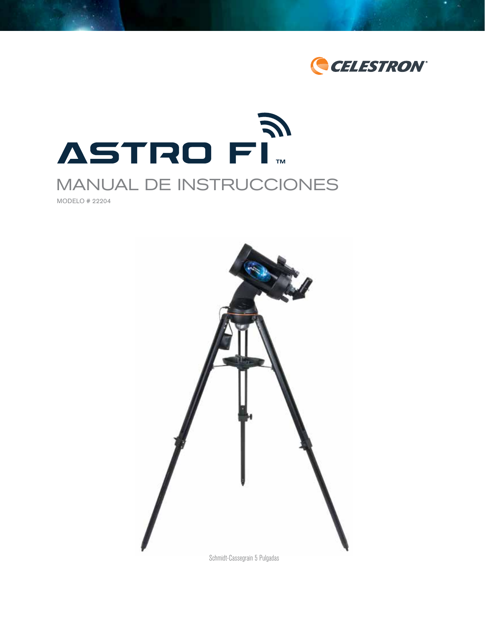



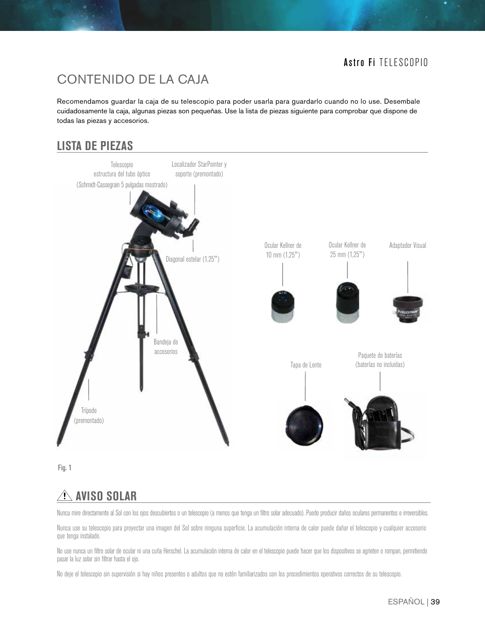# CONTENIDO DE LA CAJA

Recomendamos guardar la caja de su telescopio para poder usarla para guardarlo cuando no lo use. Desembale cuidadosamente la caja, algunas piezas son pequeñas. Use la lista de piezas siguiente para comprobar que dispone de todas las piezas y accesorios.

# **LISTA DE PIEZAS**



Fig. 1

# **AVISO SOLAR**

Nunca mire directamente al Sol con los ojos descubiertos o un telescopio (a menos que tenga un filtro solar adecuado). Puede producir daños oculares permanentes e irreversibles.

Nunca use su telescopio para proyectar una imagen del Sol sobre ninguna superficie. La acumulación interna de calor puede dañar el telescopio y cualquier accesorio que tenga instalado.

No use nunca un filtro solar de ocular ni una cuña Herschel. La acumulación interna de calor en el telescopio puede hacer que los dispositivos se agrieten o rompan, permitiendo pasar la luz solar sin filtrar hasta el ojo.

No deje el telescopio sin supervisión si hay niños presentes o adultos que no estén familiarizados con los procedimientos operativos correctos de su telescopio.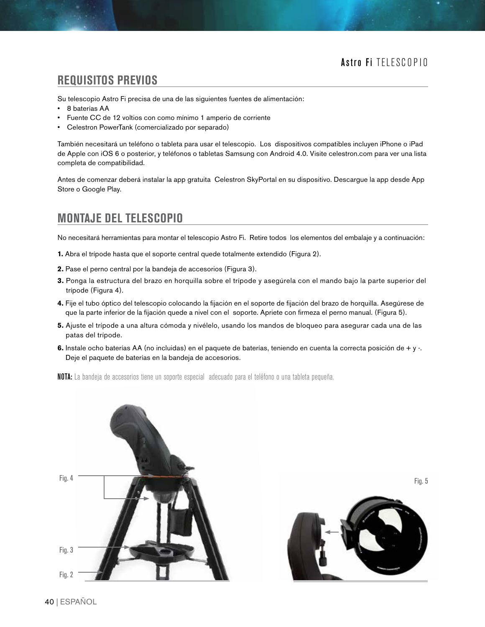### **REQUISITOS PREVIOS**

Su telescopio Astro Fi precisa de una de las siguientes fuentes de alimentación:

- 8 baterías AA
- Fuente CC de 12 voltios con como mínimo 1 amperio de corriente
- Celestron PowerTank (comercializado por separado)

También necesitará un teléfono o tableta para usar el telescopio. Los dispositivos compatibles incluyen iPhone o iPad de Apple con iOS 6 o posterior, y teléfonos o tabletas Samsung con Android 4.0. Visite celestron.com para ver una lista completa de compatibilidad.

Antes de comenzar deberá instalar la app gratuita Celestron SkyPortal en su dispositivo. Descargue la app desde App Store o Google Play.

# **MONTAJE DEL TELESCOPIO**

No necesitará herramientas para montar el telescopio Astro Fi. Retire todos los elementos del embalaje y a continuación:

- **1.** Abra el trípode hasta que el soporte central quede totalmente extendido (Figura 2).
- **2.** Pase el perno central por la bandeja de accesorios (Figura 3).
- **3.** Ponga la estructura del brazo en horquilla sobre el trípode y asegúrela con el mando bajo la parte superior del trípode (Figura 4).
- **4.** Fije el tubo óptico del telescopio colocando la fijación en el soporte de fijación del brazo de horquilla. Asegúrese de que la parte inferior de la fijación quede a nivel con el soporte. Apriete con firmeza el perno manual. (Figura 5).
- **5.** Ajuste el trípode a una altura cómoda y nivélelo, usando los mandos de bloqueo para asegurar cada una de las patas del trípode.
- 6. Instale ocho baterías AA (no incluidas) en el paquete de baterías, teniendo en cuenta la correcta posición de + y -. Deje el paquete de baterías en la bandeja de accesorios.

NOTA: La bandeja de accesorios tiene un soporte especial adecuado para el teléfono o una tableta pequeña.



Fig. 5

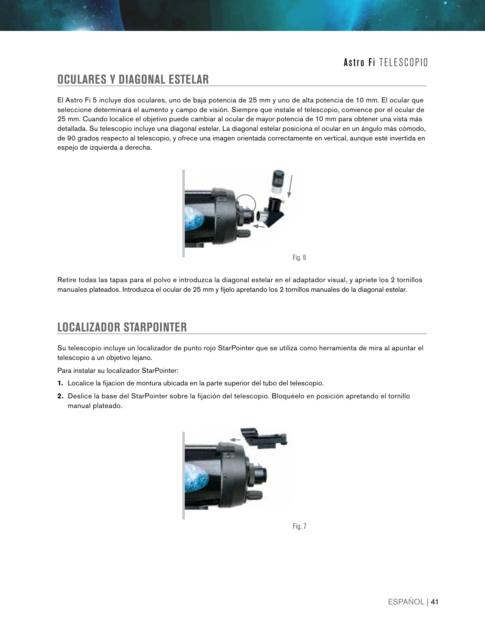### **OCULARES Y DIAGONAL ESTELAR**

El Astro Fi 5 incluye dos oculares, uno de baja potencia de 25 mm y uno de alta potencia de 10 mm. El ocular que seleccione determinará el aumento y campo de visión. Siempre que instale el telescopio, comience por el ocular de 25 mm. Cuando localice el objetivo puede cambiar al ocular de mayor potencia de 10 mm para obtener una vista más detallada. Su telescopio incluye una diagonal estelar. La diagonal estelar posiciona el ocular en un ángulo más cómodo, de 90 grados respecto al telescopio, y ofrece una imagen orientada correctamente en vertical, aunque esté invertida en espejo de izquierda a derecha.



Fig. 6

Retire todas las tapas para el polvo e introduzca la diagonal estelar en el adaptador visual, y apriete los 2 tornillos manuales plateados. Introduzca el ocular de 25 mm y fíjelo apretando los 2 tornillos manuales de la diagonal estelar.

### **LOCALIZADOR STARPOINTER**

Su telescopio incluye un localizador de punto rojo StarPointer que se utiliza como herramienta de mira al apuntar el telescopio a un objetivo lejano.

Para instalar su localizador StarPointer:

- **1.** Localice la fijacion de montura ubicada en la parte superior del tubo del telescopio.
- **2.** Deslice la base del StarPointer sobre la fijación del telescopio. Bloquéelo en posición apretando el tornillo manual plateado.

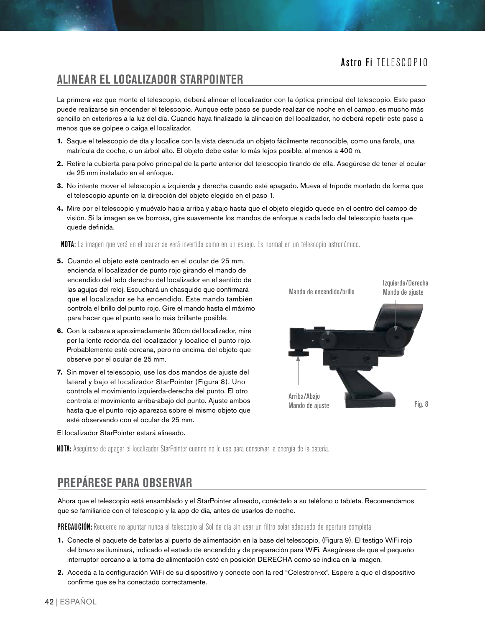### **ALINEAR EL LOCALIZADOR STARPOINTER**

La primera vez que monte el telescopio, deberá alinear el localizador con la óptica principal del telescopio. Este paso puede realizarse sin encender el telescopio. Aunque este paso se puede realizar de noche en el campo, es mucho más sencillo en exteriores a la luz del día. Cuando haya finalizado la alineación del localizador, no deberá repetir este paso a menos que se golpee o caiga el localizador.

- **1.** Saque el telescopio de día y localice con la vista desnuda un objeto fácilmente reconocible, como una farola, una matrícula de coche, o un árbol alto. El objeto debe estar lo más lejos posible, al menos a 400 m.
- **2.** Retire la cubierta para polvo principal de la parte anterior del telescopio tirando de ella. Asegúrese de tener el ocular de 25 mm instalado en el enfoque.
- **3.** No intente mover el telescopio a izquierda y derecha cuando esté apagado. Mueva el trípode montado de forma que el telescopio apunte en la dirección del objeto elegido en el paso 1.
- **4.** Mire por el telescopio y muévalo hacia arriba y abajo hasta que el objeto elegido quede en el centro del campo de visión. Si la imagen se ve borrosa, gire suavemente los mandos de enfoque a cada lado del telescopio hasta que quede definida.

NOTA: La imagen que verá en el ocular se verá invertida como en un espejo. Es normal en un telescopio astronómico.

- **5.** Cuando el objeto esté centrado en el ocular de 25 mm, encienda el localizador de punto rojo girando el mando de encendido del lado derecho del localizador en el sentido de las agujas del reloj. Escuchará un chasquido que confirmará que el localizador se ha encendido. Este mando también controla el brillo del punto rojo. Gire el mando hasta el máximo para hacer que el punto sea lo más brillante posible.
- **6.** Con la cabeza a aproximadamente 30cm del localizador, mire por la lente redonda del localizador y localice el punto rojo. Probablemente esté cercana, pero no encima, del objeto que observe por el ocular de 25 mm.
- **7.** Sin mover el telescopio, use los dos mandos de ajuste del lateral y bajo el localizador StarPointer (Figura 8). Uno controla el movimiento izquierda-derecha del punto. El otro controla el movimiento arriba-abajo del punto. Ajuste ambos hasta que el punto rojo aparezca sobre el mismo objeto que esté observando con el ocular de 25 mm.

El localizador StarPointer estará alineado.



NOTA: Asegúrese de apagar el localizador StarPointer cuando no lo use para conservar la energía de la batería.

# **PREPÁRESE PARA OBSERVAR**

Ahora que el telescopio está ensamblado y el StarPointer alineado, conéctelo a su teléfono o tableta. Recomendamos que se familiarice con el telescopio y la app de día, antes de usarlos de noche.

PRECAUCIÓN:Recuerde no apuntar nunca el telescopio al Sol de día sin usar un filtro solar adecuado de apertura completa.

- **1.** Conecte el paquete de baterías al puerto de alimentación en la base del telescopio, (Figura 9). El testigo WiFi rojo del brazo se iluminará, indicado el estado de encendido y de preparación para WiFi. Asegúrese de que el pequeño interruptor cercano a la toma de alimentación esté en posición DERECHA como se indica en la imagen.
- **2.** Acceda a la configuración WiFi de su dispositivo y conecte con la red "Celestron-xx". Espere a que el dispositivo confirme que se ha conectado correctamente.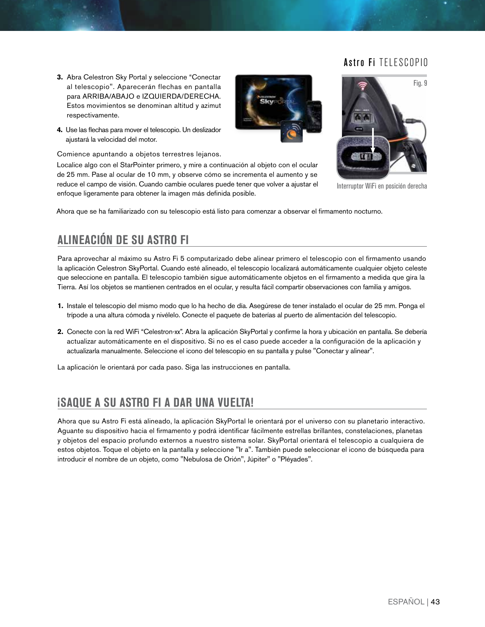Fig. 9

- **3.** Abra Celestron Sky Portal y seleccione "Conectar al telescopio". Aparecerán flechas en pantalla para ARRIBA/ABAJO e IZQUIERDA/DERECHA. Estos movimientos se denominan altitud y azimut respectivamente.
- **4.** Use las flechas para mover el telescopio. Un deslizador ajustará la velocidad del motor.

Comience apuntando a objetos terrestres lejanos.

Localice algo con el StarPointer primero, y mire a continuación al objeto con el ocular de 25 mm. Pase al ocular de 10 mm, y observe cómo se incrementa el aumento y se reduce el campo de visión. Cuando cambie oculares puede tener que volver a ajustar el enfoque ligeramente para obtener la imagen más definida posible.



Interruptor WiFi en posición derecha

Ahora que se ha familiarizado con su telescopio está listo para comenzar a observar el firmamento nocturno.

# **ALINEACIÓN DE SU ASTRO FI**

Para aprovechar al máximo su Astro Fi 5 computarizado debe alinear primero el telescopio con el firmamento usando la aplicación Celestron SkyPortal. Cuando esté alineado, el telescopio localizará automáticamente cualquier objeto celeste que seleccione en pantalla. El telescopio también sigue automáticamente objetos en el firmamento a medida que gira la Tierra. Así los objetos se mantienen centrados en el ocular, y resulta fácil compartir observaciones con familia y amigos.

- **1.** Instale el telescopio del mismo modo que lo ha hecho de día. Asegúrese de tener instalado el ocular de 25 mm. Ponga el trípode a una altura cómoda y nivélelo. Conecte el paquete de baterías al puerto de alimentación del telescopio.
- **2.** Conecte con la red WiFi "Celestron-xx". Abra la aplicación SkyPortal y confirme la hora y ubicación en pantalla. Se debería actualizar automáticamente en el dispositivo. Si no es el caso puede acceder a la configuración de la aplicación y actualizarla manualmente. Seleccione el icono del telescopio en su pantalla y pulse "Conectar y alinear".

La aplicación le orientará por cada paso. Siga las instrucciones en pantalla.

# **¡SAQUE A SU ASTRO FI A DAR UNA VUELTA!**

Ahora que su Astro Fi está alineado, la aplicación SkyPortal le orientará por el universo con su planetario interactivo. Aguante su dispositivo hacia el firmamento y podrá identificar fácilmente estrellas brillantes, constelaciones, planetas y objetos del espacio profundo externos a nuestro sistema solar. SkyPortal orientará el telescopio a cualquiera de estos objetos. Toque el objeto en la pantalla y seleccione "Ir a". También puede seleccionar el icono de búsqueda para introducir el nombre de un objeto, como "Nebulosa de Orión", Júpiter" o "Pléyades".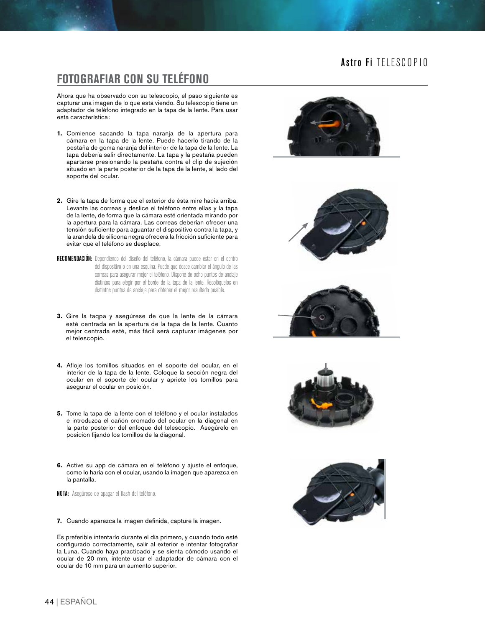### **FOTOGRAFIAR CON SU TELÉFONO**

Ahora que ha observado con su telescopio, el paso siguiente es capturar una imagen de lo que está viendo. Su telescopio tiene un adaptador de teléfono integrado en la tapa de la lente. Para usar esta característica:

- **1.** Comience sacando la tapa naranja de la apertura para cámara en la tapa de la lente. Puede hacerlo tirando de la pestaña de goma naranja del interior de la tapa de la lente. La tapa debería salir directamente. La tapa y la pestaña pueden apartarse presionando la pestaña contra el clip de sujeción situado en la parte posterior de la tapa de la lente, al lado del soporte del ocular.
- **2.** Gire la tapa de forma que el exterior de ésta mire hacia arriba. Levante las correas y deslice el teléfono entre ellas y la tapa de la lente, de forma que la cámara esté orientada mirando por la apertura para la cámara. Las correas deberían ofrecer una tensión suficiente para aguantar el dispositivo contra la tapa, y la arandela de silicona negra ofrecerá la fricción suficiente para evitar que el teléfono se desplace.
- RECOMENDACIÓN: Dependiendo del diseño del teléfono, la cámara puede estar en el centro del dispositivo o en una esquina. Puede que desee cambiar el ángulo de las correas para asegurar mejor el teléfono. Dispone de ocho puntos de anclaje distintos para elegir por el borde de la tapa de la lente. Recolóquelos en distintos puntos de anclaje para obtener el mejor resultado posible.
- **3.** Gire la taqpa y asegúrese de que la lente de la cámara esté centrada en la apertura de la tapa de la lente. Cuanto mejor centrada esté, más fácil será capturar imágenes por el telescopio.
- **4.** Afloje los tornillos situados en el soporte del ocular, en el interior de la tapa de la lente. Coloque la sección negra del ocular en el soporte del ocular y apriete los tornillos para asegurar el ocular en posición.
- **5.** Tome la tapa de la lente con el teléfono y el ocular instalados e introduzca el cañón cromado del ocular en la diagonal en la parte posterior del enfoque del telescopio. Asegúrelo en posición fijando los tornillos de la diagonal.
- **6.** Active su app de cámara en el teléfono y ajuste el enfoque, como lo haría con el ocular, usando la imagen que aparezca en la pantalla.

NOTA: Asegúrese de apagar el flash del teléfono.

**7.** Cuando aparezca la imagen definida, capture la imagen.

Es preferible intentarlo durante el día primero, y cuando todo esté configurado correctamente, salir al exterior e intentar fotografiar la Luna. Cuando haya practicado y se sienta cómodo usando el ocular de 20 mm, intente usar el adaptador de cámara con el ocular de 10 mm para un aumento superior.









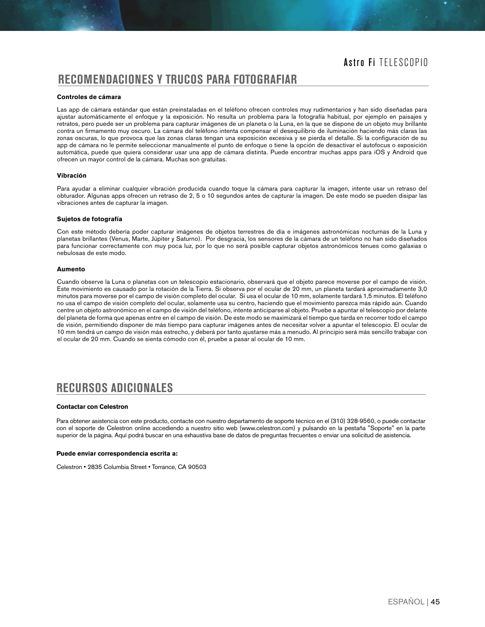### **RECOMENDACIONES Y TRUCOS PARA FOTOGRAFIAR**

#### **Controles de cámara**

Las app de cámara estándar que están preinstaladas en el teléfono ofrecen controles muy rudimentarios y han sido diseñadas para ajustar automáticamente el enfoque y la exposición. No resulta un problema para la fotografía habitual, por ejemplo en paisajes y retratos, pero puede ser un problema para capturar imágenes de un planeta o la Luna, en la que se dispone de un objeto muy brillante contra un firmamento muy oscuro. La cámara del teléfono intenta compensar el desequilibrio de iluminación haciendo más claras las zonas oscuras, lo que provoca que las zonas claras tengan una exposición excesiva y se pierda el detalle. Si la configuración de su app de cámara no le permite seleccionar manualmente el punto de enfoque o tiene la opción de desactivar el autofocus o exposición automática, puede que quiera considerar usar una app de cámara distinta. Puede encontrar muchas apps para iOS y Android que ofrecen un mayor control de la cámara. Muchas son gratuitas.

#### **Vibración**

Para ayudar a eliminar cualquier vibración producida cuando toque la cámara para capturar la imagen, intente usar un retraso del obturador. Algunas apps ofrecen un retraso de 2, 5 o 10 segundos antes de capturar la imagen. De este modo se pueden disipar las vibraciones antes de capturar la imagen.

#### **Sujetos de fotografía**

Con este método debería poder capturar imágenes de objetos terrestres de día e imágenes astronómicas nocturnas de la Luna y planetas brillantes (Venus, Marte, Júpiter y Saturno). Por desgracia, los sensores de la cámara de un teléfono no han sido diseñados para funcionar correctamente con muy poca luz, por lo que no será posible capturar objetos astronómicos tenues como galaxias o nebulosas de este modo.

#### **Aumento**

Cuando observe la Luna o planetas con un telescopio estacionario, observará que el objeto parece moverse por el campo de visión. Este movimiento es causado por la rotación de la Tierra. Si observa por el ocular de 20 mm, un planeta tardará aproximadamente 3,0 minutos para moverse por el campo de visión completo del ocular. Si usa el ocular de 10 mm, solamente tardará 1,5 minutos. El teléfono no usa el campo de visión completo del ocular, solamente usa su centro, haciendo que el movimiento parezca más rápido aún. Cuando centre un objeto astronómico en el campo de visión del teléfono, intente anticiparse al objeto. Pruebe a apuntar el telescopio por delante del planeta de forma que apenas entre en el campo de visión. De este modo se maximizará el tiempo que tarda en recorrer todo el campo de visión, permitiendo disponer de más tiempo para capturar imágenes antes de necesitar volver a apuntar el telescopio. El ocular de 10 mm tendrá un campo de visión más estrecho, y deberá por tanto ajustarse más a menudo. Al principio será más sencillo trabajar con el ocular de 20 mm. Cuando se sienta cómodo con él, pruebe a pasar al ocular de 10 mm.

# **RECURSOS ADICIONALES**

#### **Contactar con Celestron**

Para obtener asistencia con este producto, contacte con nuestro departamento de soporte técnico en el (310) 328-9560, o puede contactar con el soporte de Celestron online accediendo a nuestro sitio web (www.celestron.com) y pulsando en la pestaña "Soporte" en la parte superior de la página. Aquí podrá buscar en una exhaustiva base de datos de preguntas frecuentes o enviar una solicitud de asistencia.

#### **Puede enviar correspondencia escrita a:**

Celestron • 2835 Columbia Street • Torrance, CA 90503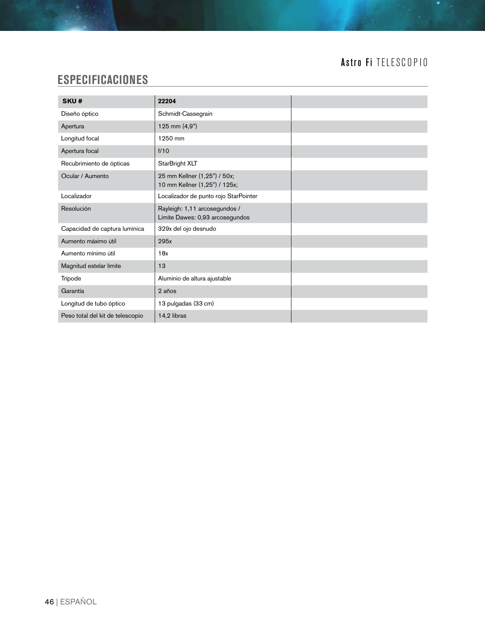# **ESPECIFICACIONES**

| SKU#                             | 22204                                                            |
|----------------------------------|------------------------------------------------------------------|
| Diseño óptico                    | Schmidt-Cassegrain                                               |
| Apertura                         | 125 mm (4,9")                                                    |
| Longitud focal                   | 1250 mm                                                          |
| Apertura focal                   | f/10                                                             |
| Recubrimiento de ópticas         | StarBright XLT                                                   |
| Ocular / Aumento                 | 25 mm Kellner (1,25") / 50x;<br>10 mm Kellner (1,25") / 125x;    |
| Localizador                      | Localizador de punto rojo StarPointer                            |
| Resolución                       | Rayleigh: 1,11 arcosegundos /<br>Límite Dawes: 0,93 arcosegundos |
| Capacidad de captura lumínica    | 329x del ojo desnudo                                             |
| Aumento máximo útil              | 295x                                                             |
| Aumento mínimo útil              | 18x                                                              |
| Magnitud estelar límite          | 13                                                               |
| Trípode                          | Aluminio de altura ajustable                                     |
| Garantía                         | 2 años                                                           |
| Longitud de tubo óptico          | 13 pulgadas (33 cm)                                              |
| Peso total del kit de telescopio | 14,2 libras                                                      |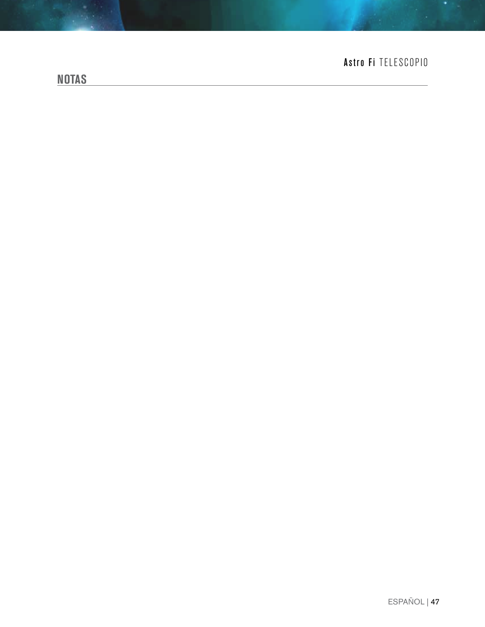# **NOTAS**

# Astro Fi TELESCOPIO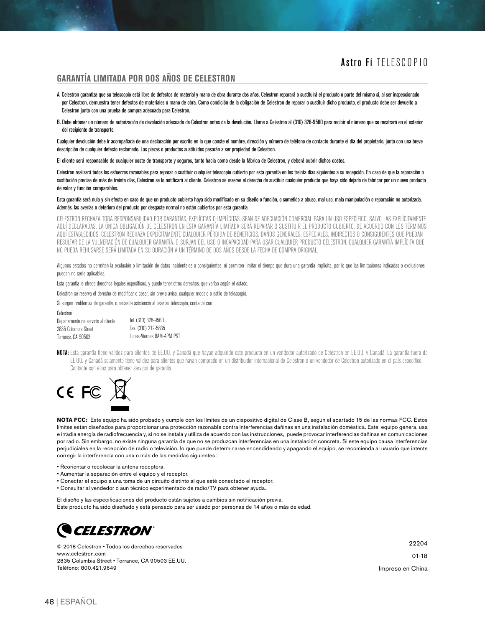#### **GARANTÍA LIMITADA POR DOS AÑOS DE CELESTRON**

- A. Celestron garantiza que su telescopio está libre de defectos de material y mano de obra durante dos años. Celestron reparará o sustituirá el producto o parte del mismo si, al ser inspeccionado por Celestron, demuestra tener defectos de materiales o mano de obra. Como condición de la obligación de Celestron de reparar o sustituir dicho producto, el producto debe ser devuelto a Celestron junto con una prueba de compra adecuada para Celestron.
- B. Debe obtener un número de autorización de devolución adecuado de Celestron antes de la devolución. Llame a Celestron al (310) 328-9560 para recibir el número que se mostrará en el exterior del recipiente de transporte.

Cualquier devolución debe ir acompañada de una declaración por escrito en la que conste el nombre, dirección y número de teléfono de contacto durante el día del propietario, junto con una breve descripción de cualquier defecto reclamado. Las piezas o productos sustituidos pasarán a ser propiedad de Celestron.

El cliente será responsable de cualquier coste de transporte y seguros, tanto hacia como desde la fábrica de Celestron, y deberá cubrir dichos costes.

Celestron realizará todos los esfuerzos razonables para reparar o sustituir cualquier telescopio cubierto por esta garantía en los treinta días siguientes a su recepción. En caso de que la reparación o sustitución precise de más de treinta días, Celestron se lo notificará al cliente. Celestron se reserve el derecho de sustituir cualquier producto que haya sido dejado de fabricar por un nuevo producto de valor y función comparables.

#### Esta garantía será nula y sin efecto en caso de que un producto cubierto haya sido modificado en su diseño o función, o sometido a abuso, mal uso, mala manipulación o reparación no autorizada. Además, las averías o deterioro del producto por desgaste normal no están cubiertos por esta garantía.

CELESTRON RECHAZA TODA RESPONSABILIDAD POR GARANTÍAS, EXPLÍCITAS O IMPLÍCITAS, SEAN DE ADECUACIÓN COMERCIAL PARA UN USO ESPECÍFICO, SALVO LAS EXPLÍCITAMENTE AQUÍ DECLARADAS. LA ÚNICA OBLIGACIÓN DE CELESTRON EN ESTA GARANTÍA LIMITADA SERÁ REPARAR O SUSTITUIR EL PRODUCTO CUBIERTO, DE ACUERDO CON LOS TÉRMINOS AQUÍ ESTABLECIDOS. CELESTRON RECHAZA EXPLÍCITAMENTE CUALQUIER PÉRDIDA DE BENEFICIOS, DAÑOS GENERALES, ESPECIALES, INDIRECTOS O CONSIGUIENTES QUE PUEDAN RESULTAR DE LA VULNERACIÓN DE CUALQUIER GARANTÍA, O SURJAN DEL USO O INCAPACIDAD PARA USAR CUALQUIER PRODUCTO CELESTRON. CUALQUIER GARANTÍA IMPLÍCITA QUE NO PUEDA REHUSARSE SERÁ LIMITADA EN SU DURACIÓN A UN TÉRMINO DE DOS AÑOS DESDE LA FECHA DE COMPRA ORIGINAL.

Algunos estados no permiten la exclusión o limitación de datos incidentales o consiguientes, ni permiten limitar el tiempo que dura una garantía implícita, por lo que las limitaciones indicadas o exclusiones pueden no serle aplicables.

Esta garantía le ofrece derechos legales específicos, y puede tener otros derechos, que varían según el estado.

Celestron se reserva el derecho de modificar o cesar, sin previo aviso, cualquier modelo o estilo de telescopio.

Si surgen problemas de garantía, o necesita asistencia al usar su telescopio, contacte con:

| Gelesiron.                          |                           |
|-------------------------------------|---------------------------|
| Departamento de servicio al cliente | Tel. (310) 328-9560       |
| 2835 Columbia Street                | Fax. (310) 212-5835       |
| Torrance. CA 90503                  | Lunes-Viernes 8AM-4PM PST |

NOTA: Esta garantía tiene validez para clientes de EE.UU. y Canadá que hayan adquirido este producto en un vendedor autorizado de Celestron en EE.UU. y Canadá. La garantía fuera de EE.UU. y Canadá solamente tiene validez para clientes que hayan comprado en un distribuidor internacional de Celestron o un vendedor de Celestron autorizado en el país específico. Contacte con ellos para obtener servicio de garantía.



Celestron

**NOTA FCC:** Este equipo ha sido probado y cumple con los límites de un dispositivo digital de Clase B, según el apartado 15 de las normas FCC. Estos límites están diseñados para proporcionar una protección razonable contra interferencias dañinas en una instalación doméstica. Este equipo genera, usa e irradia energía de radiofrecuencia y, si no se instala y utiliza de acuerdo con las instrucciones, puede provocar interferencias dañinas en comunicaciones por radio. Sin embargo, no existe ninguna garantía de que no se produzcan interferencias en una instalación concreta. Si este equipo causa interferencias perjudiciales en la recepción de radio o televisión, lo que puede determinarse encendidendo y apagando el equipo, se recomienda al usuario que intente corregir la interferencia con una o más de las medidas siguientes:

- Reorientar o recolocar la antena receptora.
- Aumentar la separación entre el equipo y el receptor.
- Conectar el equipo a una toma de un circuito distinto al que esté conectado el receptor.
- Consultar al vendedor o aun técnico experimentado de radio/TV para obtener ayuda.

El diseño y las especificaciones del producto están sujetos a cambios sin notificación previa. Este producto ha sido diseñado y está pensado para ser usado por personas de 14 años o más de edad.



© 2018 Celestron • Todos los derechos reservados www.celestron.com 2835 Columbia Street • Torrance, CA 90503 EE.UU. Teléfono: 800.421.9649

22204 01-18 Impreso en China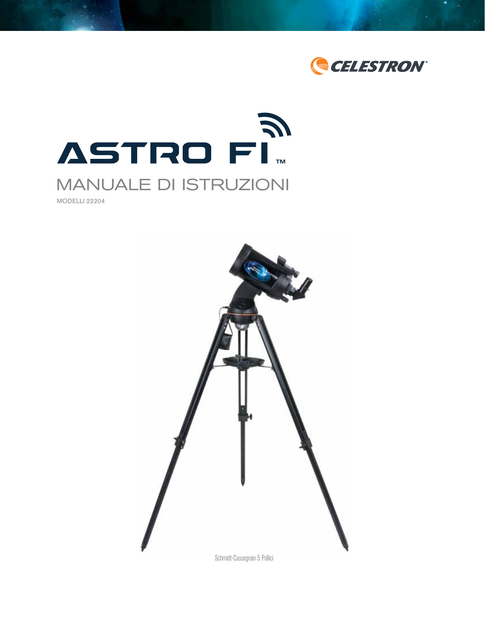



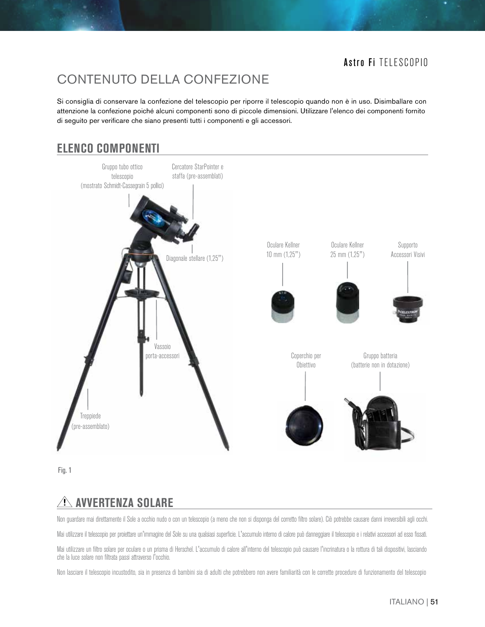# CONTENUTO DELLA CONFEZIONE

Si consiglia di conservare la confezione del telescopio per riporre il telescopio quando non è in uso. Disimballare con attenzione la confezione poiché alcuni componenti sono di piccole dimensioni. Utilizzare l'elenco dei componenti fornito di seguito per verificare che siano presenti tutti i componenti e gli accessori.

# **ELENCO COMPONENTI**



Fig. 1

# **AVVERTENZA SOLARE**

Non guardare mai direttamente il Sole a occhio nudo o con un telescopio (a meno che non si disponga del corretto filtro solare). Ciò potrebbe causare danni irreversibili agli occhi.

Mai utilizzare il telescopio per proiettare un'immagine del Sole su una qualsiasi superficie. L'accumulo interno di calore può danneggiare il telescopio e i relativi accessori ad esso fissati.

Mai utilizzare un filtro solare per oculare o un prisma di Herschel. L'accumulo di calore all'interno del telescopio può causare l'incrinatura o la rottura di tali dispositivi, lasciando che la luce solare non filtrata passi attraverso l'occhio.

Non lasciare il telescopio incustodito, sia in presenza di bambini sia di adulti che potrebbero non avere familiarità con le corrette procedure di funzionamento del telescopio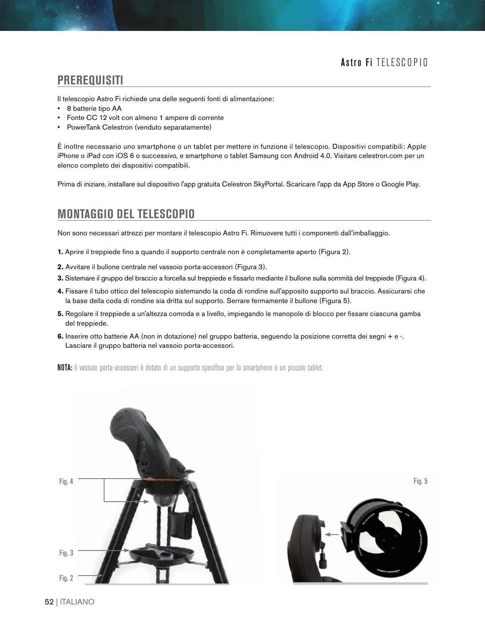#### **PREREQUISITI**

Il telescopio Astro Fi richiede una delle seguenti fonti di alimentazione:

- 8 batterie tipo AA
- Fonte CC 12 volt con almeno 1 ampere di corrente
- PowerTank Celestron (venduto separatamente)

È inoltre necessario uno smartphone o un tablet per mettere in funzione il telescopio. Dispositivi compatibili: Apple iPhone o iPad con iOS 6 o successivo, e smartphone o tablet Samsung con Android 4.0. Visitare celestron.com per un elenco completo dei dispositivi compatibili.

Prima di iniziare, installare sul dispositivo l'app gratuita Celestron SkyPortal. Scaricare l'app da App Store o Google Play.

### **MONTAGGIO DEL TELESCOPIO**

Non sono necessari attrezzi per montare il telescopio Astro Fi. Rimuovere tutti i componenti dall'imballaggio.

- **1.** Aprire il treppiede fino a quando il supporto centrale non è completamente aperto (Figura 2).
- **2.** Avvitare il bullone centrale nel vassoio porta-accessori (Figura 3).
- **3.** Sistemare il gruppo del braccio a forcella sul treppiede e fissarlo mediante il bullone sulla sommità del treppiede (Figura 4).
- **4.** Fissare il tubo ottico del telescopio sistemando la coda di rondine sull'apposito supporto sul braccio. Assicurarsi che la base della coda di rondine sia dritta sul supporto. Serrare fermamente il bullone (Figura 5).
- **5.** Regolare il treppiede a un'altezza comoda e a livello, impiegando le manopole di blocco per fissare ciascuna gamba del treppiede.
- **6.** Inserire otto batterie AA (non in dotazione) nel gruppo batteria, seguendo la posizione corretta dei segni + e -. Lasciare il gruppo batteria nel vassoio porta-accessori.

NOTA: il vassoio porta-accessori è dotato di un supporto specifico per lo smartphone o un piccolo tablet.





Fig. 5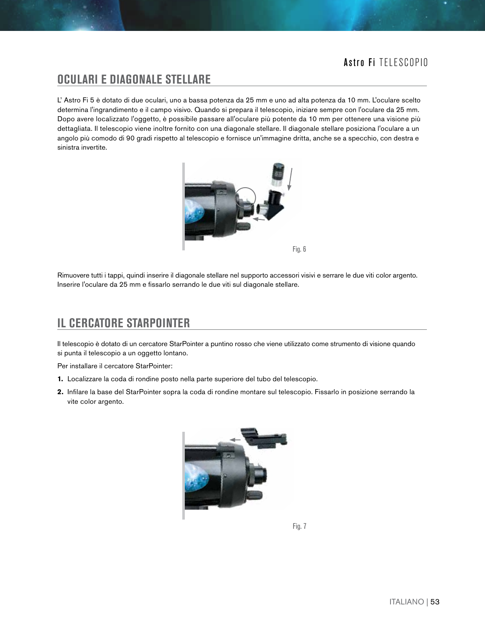#### **OCULARI E DIAGONALE STELLARE**

L' Astro Fi 5 è dotato di due oculari, uno a bassa potenza da 25 mm e uno ad alta potenza da 10 mm. L'oculare scelto determina l'ingrandimento e il campo visivo. Quando si prepara il telescopio, iniziare sempre con l'oculare da 25 mm. Dopo avere localizzato l'oggetto, è possibile passare all'oculare più potente da 10 mm per ottenere una visione più dettagliata. Il telescopio viene inoltre fornito con una diagonale stellare. Il diagonale stellare posiziona l'oculare a un angolo più comodo di 90 gradi rispetto al telescopio e fornisce un'immagine dritta, anche se a specchio, con destra e sinistra invertite.



Rimuovere tutti i tappi, quindi inserire il diagonale stellare nel supporto accessori visivi e serrare le due viti color argento. Inserire l'oculare da 25 mm e fissarlo serrando le due viti sul diagonale stellare.

# **IL CERCATORE STARPOINTER**

Il telescopio è dotato di un cercatore StarPointer a puntino rosso che viene utilizzato come strumento di visione quando si punta il telescopio a un oggetto lontano.

Per installare il cercatore StarPointer:

- **1.** Localizzare la coda di rondine posto nella parte superiore del tubo del telescopio.
- **2.** Infilare la base del StarPointer sopra la coda di rondine montare sul telescopio. Fissarlo in posizione serrando la vite color argento.



Fig. 7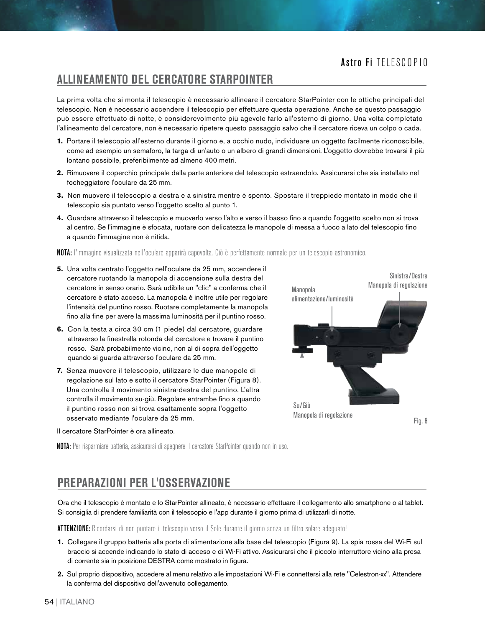### **ALLINEAMENTO DEL CERCATORE STARPOINTER**

La prima volta che si monta il telescopio è necessario allineare il cercatore StarPointer con le ottiche principali del telescopio. Non è necessario accendere il telescopio per effettuare questa operazione. Anche se questo passaggio può essere effettuato di notte, è considerevolmente più agevole farlo all'esterno di giorno. Una volta completato l'allineamento del cercatore, non è necessario ripetere questo passaggio salvo che il cercatore riceva un colpo o cada.

- **1.** Portare il telescopio all'esterno durante il giorno e, a occhio nudo, individuare un oggetto facilmente riconoscibile, come ad esempio un semaforo, la targa di un'auto o un albero di grandi dimensioni. L'oggetto dovrebbe trovarsi il più lontano possibile, preferibilmente ad almeno 400 metri.
- **2.** Rimuovere il coperchio principale dalla parte anteriore del telescopio estraendolo. Assicurarsi che sia installato nel focheggiatore l'oculare da 25 mm.
- **3.** Non muovere il telescopio a destra e a sinistra mentre è spento. Spostare il treppiede montato in modo che il telescopio sia puntato verso l'oggetto scelto al punto 1.
- **4.** Guardare attraverso il telescopio e muoverlo verso l'alto e verso il basso fino a quando l'oggetto scelto non si trova al centro. Se l'immagine è sfocata, ruotare con delicatezza le manopole di messa a fuoco a lato del telescopio fino a quando l'immagine non è nitida.

NOTA: l'immagine visualizzata nell'oculare apparirà capovolta. Ciò è perfettamente normale per un telescopio astronomico.

- **5.** Una volta centrato l'oggetto nell'oculare da 25 mm, accendere il cercatore ruotando la manopola di accensione sulla destra del cercatore in senso orario. Sarà udibile un "clic" a conferma che il cercatore è stato acceso. La manopola è inoltre utile per regolare l'intensità del puntino rosso. Ruotare completamente la manopola fino alla fine per avere la massima luminosità per il puntino rosso.
- **6.** Con la testa a circa 30 cm (1 piede) dal cercatore, guardare attraverso la finestrella rotonda del cercatore e trovare il puntino rosso. Sarà probabilmente vicino, non al di sopra dell'oggetto quando si guarda attraverso l'oculare da 25 mm.
- **7.** Senza muovere il telescopio, utilizzare le due manopole di regolazione sul lato e sotto il cercatore StarPointer (Figura 8). Una controlla il movimento sinistra-destra del puntino. L'altra controlla il movimento su-giù. Regolare entrambe fino a quando il puntino rosso non si trova esattamente sopra l'oggetto osservato mediante l'oculare da 25 mm.



Il cercatore StarPointer è ora allineato.

NOTA: Per risparmiare batteria, assicurarsi di spegnere il cercatore StarPointer quando non in uso.

### **PREPARAZIONI PER L'OSSERVAZIONE**

Ora che il telescopio è montato e lo StarPointer allineato, è necessario effettuare il collegamento allo smartphone o al tablet. Si consiglia di prendere familiarità con il telescopio e l'app durante il giorno prima di utilizzarli di notte.

ATTENZIONE: Ricordarsi di non puntare il telescopio verso il Sole durante il giorno senza un filtro solare adeguato!

- **1.** Collegare il gruppo batteria alla porta di alimentazione alla base del telescopio (Figura 9). La spia rossa del Wi-Fi sul braccio si accende indicando lo stato di acceso e di Wi-Fi attivo. Assicurarsi che il piccolo interruttore vicino alla presa di corrente sia in posizione DESTRA come mostrato in figura.
- **2.** Sul proprio dispositivo, accedere al menu relativo alle impostazioni Wi-Fi e connettersi alla rete "Celestron-xx". Attendere la conferma del dispositivo dell'avvenuto collegamento.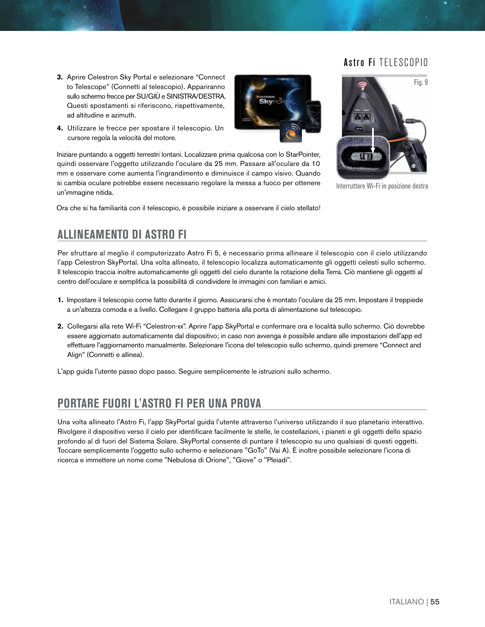Fig. 9

- **3.** Aprire Celestron Sky Portal e selezionare "Connect to Telescope" (Connetti al telescopio). Appariranno sullo schermo frecce per SU/GIÙ e SINISTRA/DESTRA. Questi spostamenti si riferiscono, rispettivamente, ad altitudine e azimuth.
- **4.** Utilizzare le frecce per spostare il telescopio. Un cursore regola la velocità del motore.

Iniziare puntando a oggetti terrestri lontani. Localizzare prima qualcosa con lo StarPointer, quindi osservare l'oggetto utilizzando l'oculare da 25 mm. Passare all'oculare da 10 mm e osservare come aumenta l'ingrandimento e diminuisce il campo visivo. Quando si cambia oculare potrebbe essere necessario regolare la messa a fuoco per ottenere un'immagine nitida.

Ora che si ha familiarità con il telescopio, è possibile iniziare a osservare il cielo stellato!



Interruttore Wi-Fi in posizione destra

# **ALLINEAMENTO DI ASTRO FI**

Per sfruttare al meglio il computerizzato Astro Fi 5, è necessario prima allineare il telescopio con il cielo utilizzando l'app Celestron SkyPortal. Una volta allineato, il telescopio localizza automaticamente gli oggetti celesti sullo schermo. Il telescopio traccia inoltre automaticamente gli oggetti del cielo durante la rotazione della Terra. Ciò mantiene gli oggetti al centro dell'oculare e semplifica la possibilità di condividere le immagini con familiari e amici.

- **1.** Impostare il telescopio come fatto durante il giorno. Assicurarsi che è montato l'oculare da 25 mm. Impostare il treppiede a un'altezza comoda e a livello. Collegare il gruppo batteria alla porta di alimentazione sul telescopio.
- **2.** Collegarsi alla rete Wi-Fi "Celestron-xx". Aprire l'app SkyPortal e confermare ora e località sullo schermo. Ciò dovrebbe essere aggiornato automaticamente dal dispositivo; in caso non avvenga è possibile andare alle impostazioni dell'app ed effettuare l'aggiornamento manualmente. Selezionare l'icona del telescopio sullo schermo, quindi premere "Connect and Align" (Connetti e allinea).

L'app guida l'utente passo dopo passo. Seguire semplicemente le istruzioni sullo schermo.

# **PORTARE FUORI L'ASTRO FI PER UNA PROVA**

Una volta allineato l'Astro Fi, l'app SkyPortal guida l'utente attraverso l'universo utilizzando il suo planetario interattivo. Rivolgere il dispositivo verso il cielo per identificare facilmente le stelle, le costellazioni, i pianeti e gli oggetti dello spazio profondo al di fuori del Sistema Solare. SkyPortal consente di puntare il telescopio su uno qualsiasi di questi oggetti. Toccare semplicemente l'oggetto sullo schermo e selezionare "GoTo" (Vai A). È inoltre possibile selezionare l'icona di ricerca e immettere un nome come "Nebulosa di Orione", "Giove" o "Pleiadi".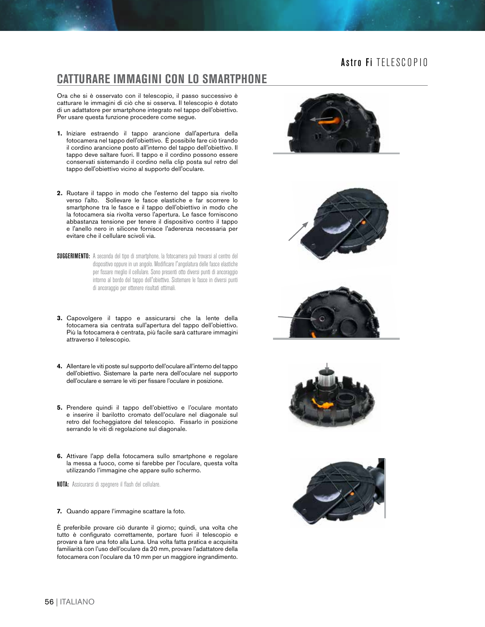### **CATTURARE IMMAGINI CON LO SMARTPHONE**

Ora che si è osservato con il telescopio, il passo successivo è catturare le immagini di ciò che si osserva. Il telescopio è dotato di un adattatore per smartphone integrato nel tappo dell'obiettivo. Per usare questa funzione procedere come segue.

- **1.** Iniziare estraendo il tappo arancione dall'apertura della fotocamera nel tappo dell'obiettivo. È possibile fare ciò tirando il cordino arancione posto all'interno del tappo dell'obiettivo. Il tappo deve saltare fuori. Il tappo e il cordino possono essere conservati sistemando il cordino nella clip posta sul retro del tappo dell'obiettivo vicino al supporto dell'oculare.
- **2.** Ruotare il tappo in modo che l'esterno del tappo sia rivolto verso l'alto. Sollevare le fasce elastiche e far scorrere lo smartphone tra le fasce e il tappo dell'obiettivo in modo che la fotocamera sia rivolta verso l'apertura. Le fasce forniscono abbastanza tensione per tenere il dispositivo contro il tappo e l'anello nero in silicone fornisce l'aderenza necessaria per evitare che il cellulare scivoli via.
- SUGGERIMENTO: A seconda del tipo di smartphone, la fotocamera può trovarsi al centro del dispositivo oppure in un angolo. Modificare l'angolatura delle fasce elastiche per fissare meglio il cellulare. Sono presenti otto diversi punti di ancoraggio intorno al bordo del tappo dell'obiettivo. Sistemare le fasce in diversi punti di ancoraggio per ottenere risultati ottimali.
- **3.** Capovolgere il tappo e assicurarsi che la lente della fotocamera sia centrata sull'apertura del tappo dell'obiettivo. Più la fotocamera è centrata, più facile sarà catturare immagini attraverso il telescopio.
- **4.** Allentare le viti poste sul supporto dell'oculare all'interno del tappo dell'obiettivo. Sistemare la parte nera dell'oculare nel supporto dell'oculare e serrare le viti per fissare l'oculare in posizione.
- **5.** Prendere quindi il tappo dell'obiettivo e l'oculare montato e inserire il barilotto cromato dell'oculare nel diagonale sul retro del focheggiatore del telescopio. Fissarlo in posizione serrando le viti di regolazione sul diagonale.
- **6.** Attivare l'app della fotocamera sullo smartphone e regolare la messa a fuoco, come si farebbe per l'oculare, questa volta utilizzando l'immagine che appare sullo schermo.

NOTA: Assicurarsi di spegnere il flash del cellulare.

**7.** Quando appare l'immagine scattare la foto.

È preferibile provare ciò durante il giorno; quindi, una volta che tutto è configurato correttamente, portare fuori il telescopio e provare a fare una foto alla Luna. Una volta fatta pratica e acquisita familiarità con l'uso dell'oculare da 20 mm, provare l'adattatore della fotocamera con l'oculare da 10 mm per un maggiore ingrandimento.









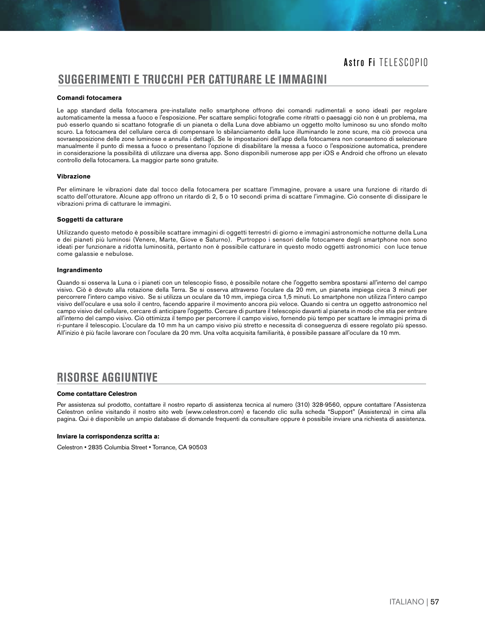### **SUGGERIMENTI E TRUCCHI PER CATTURARE LE IMMAGINI**

#### **Comandi fotocamera**

Le app standard della fotocamera pre-installate nello smartphone offrono dei comandi rudimentali e sono ideati per regolare automaticamente la messa a fuoco e l'esposizione. Per scattare semplici fotografie come ritratti o paesaggi ciò non è un problema, ma può esserlo quando si scattano fotografie di un pianeta o della Luna dove abbiamo un oggetto molto luminoso su uno sfondo molto scuro. La fotocamera del cellulare cerca di compensare lo sbilanciamento della luce illuminando le zone scure, ma ciò provoca una sovraesposizione delle zone luminose e annulla i dettagli. Se le impostazioni dell'app della fotocamera non consentono di selezionare manualmente il punto di messa a fuoco o presentano l'opzione di disabilitare la messa a fuoco o l'esposizione automatica, prendere in considerazione la possibilità di utilizzare una diversa app. Sono disponibili numerose app per iOS e Android che offrono un elevato controllo della fotocamera. La maggior parte sono gratuite.

#### **Vibrazione**

Per eliminare le vibrazioni date dal tocco della fotocamera per scattare l'immagine, provare a usare una funzione di ritardo di scatto dell'otturatore. Alcune app offrono un ritardo di 2, 5 o 10 secondi prima di scattare l'immagine. Ciò consente di dissipare le vibrazioni prima di catturare le immagini.

#### **Soggetti da catturare**

Utilizzando questo metodo è possibile scattare immagini di oggetti terrestri di giorno e immagini astronomiche notturne della Luna e dei pianeti più luminosi (Venere, Marte, Giove e Saturno). Purtroppo i sensori delle fotocamere degli smartphone non sono ideati per funzionare a ridotta luminosità, pertanto non è possibile catturare in questo modo oggetti astronomici con luce tenue come galassie e nebulose.

#### **Ingrandimento**

Quando si osserva la Luna o i pianeti con un telescopio fisso, è possibile notare che l'oggetto sembra spostarsi all'interno del campo visivo. Ciò è dovuto alla rotazione della Terra. Se si osserva attraverso l'oculare da 20 mm, un pianeta impiega circa 3 minuti per percorrere l'intero campo visivo. Se si utilizza un oculare da 10 mm, impiega circa 1,5 minuti. Lo smartphone non utilizza l'intero campo visivo dell'oculare e usa solo il centro, facendo apparire il movimento ancora più veloce. Quando si centra un oggetto astronomico nel campo visivo del cellulare, cercare di anticipare l'oggetto. Cercare di puntare il telescopio davanti al pianeta in modo che stia per entrare all'interno del campo visivo. Ciò ottimizza il tempo per percorrere il campo visivo, fornendo più tempo per scattare le immagini prima di ri-puntare il telescopio. L'oculare da 10 mm ha un campo visivo più stretto e necessita di conseguenza di essere regolato più spesso. All'inizio è più facile lavorare con l'oculare da 20 mm. Una volta acquisita familiarità, è possibile passare all'oculare da 10 mm.

### **RISORSE AGGIUNTIVE**

#### **Come contattare Celestron**

Per assistenza sul prodotto, contattare il nostro reparto di assistenza tecnica al numero (310) 328-9560, oppure contattare l'Assistenza Celestron online visitando il nostro sito web (www.celestron.com) e facendo clic sulla scheda "Support" (Assistenza) in cima alla pagina. Qui è disponibile un ampio database di domande frequenti da consultare oppure è possibile inviare una richiesta di assistenza.

#### **Inviare la corrispondenza scritta a:**

Celestron • 2835 Columbia Street • Torrance, CA 90503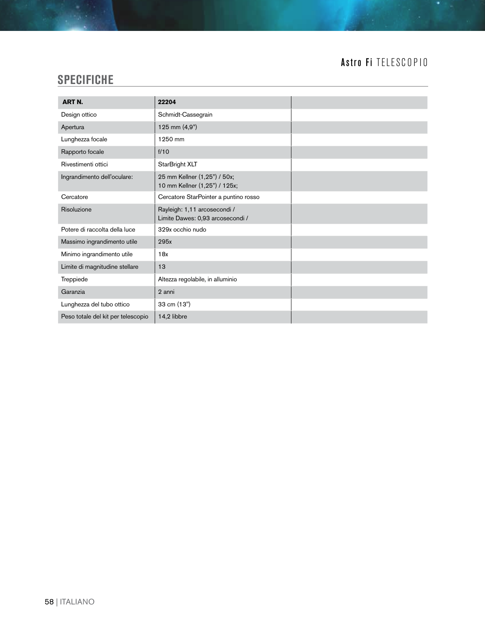# **SPECIFICHE**

| <b>ART N.</b>                      | 22204                                                            |  |
|------------------------------------|------------------------------------------------------------------|--|
| Design ottico                      | Schmidt-Cassegrain                                               |  |
| Apertura                           | 125 mm (4,9")                                                    |  |
| Lunghezza focale                   | 1250 mm                                                          |  |
| Rapporto focale                    | f/10                                                             |  |
| Rivestimenti ottici                | StarBright XLT                                                   |  |
| Ingrandimento dell'oculare:        | 25 mm Kellner (1,25") / 50x;<br>10 mm Kellner (1,25") / 125x;    |  |
| Cercatore                          | Cercatore StarPointer a puntino rosso                            |  |
| Risoluzione                        | Rayleigh: 1,11 arcosecondi /<br>Limite Dawes: 0,93 arcosecondi / |  |
| Potere di raccolta della luce      | 329x occhio nudo                                                 |  |
| Massimo ingrandimento utile        | 295x                                                             |  |
| Minimo ingrandimento utile         | 18x                                                              |  |
| Limite di magnitudine stellare     | 13                                                               |  |
| Treppiede                          | Altezza regolabile, in alluminio                                 |  |
| Garanzia                           | 2 anni                                                           |  |
| Lunghezza del tubo ottico          | 33 cm (13")                                                      |  |
| Peso totale del kit per telescopio | 14,2 libbre                                                      |  |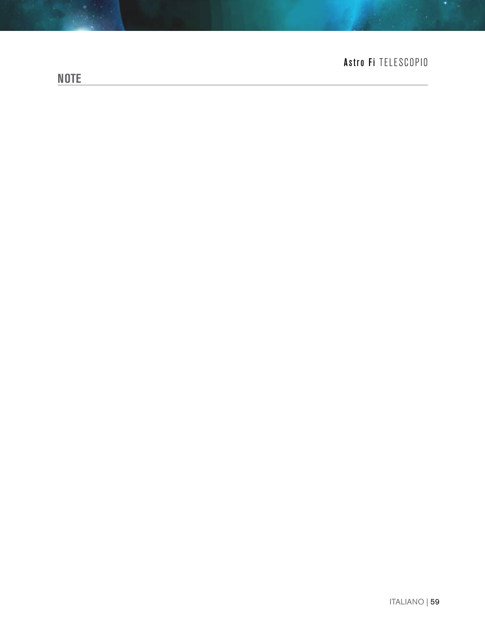# **NOTE**

# Astro Fi TELESCOPIO